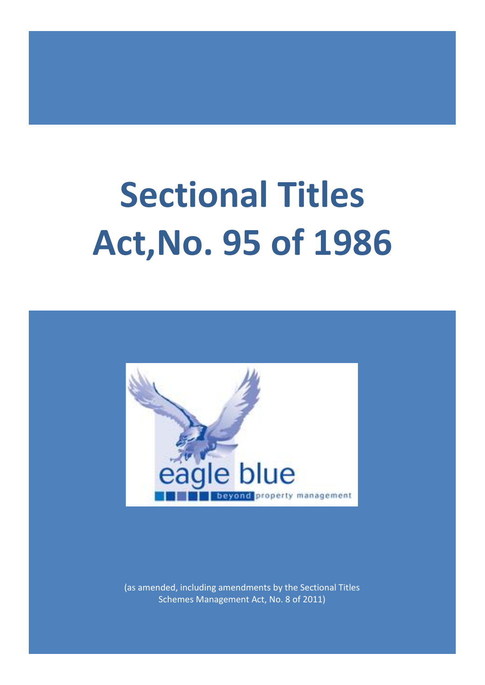# **Sectional Titles Act,No. 95 of 1986**



(as amended, including amendments by the Sectional Titles Schemes Management Act, No. 8 of 2011)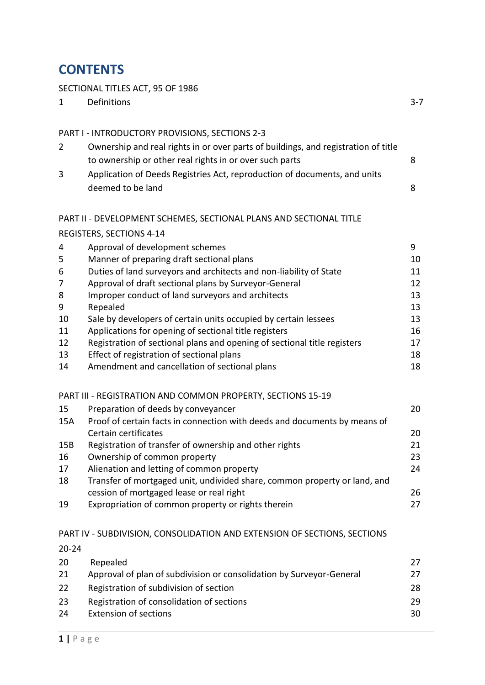## **CONTENTS**

### SECTIONAL TITLES ACT, 95 OF 1986

| SECTIONAL TITLES ACT, 95 OF 1986 |                                                                                                                                               |         |  |  |
|----------------------------------|-----------------------------------------------------------------------------------------------------------------------------------------------|---------|--|--|
| 1                                | Definitions                                                                                                                                   | $3 - 7$ |  |  |
|                                  | PART I - INTRODUCTORY PROVISIONS, SECTIONS 2-3                                                                                                |         |  |  |
| 2                                | Ownership and real rights in or over parts of buildings, and registration of title<br>to ownership or other real rights in or over such parts | 8       |  |  |
| 3                                | Application of Deeds Registries Act, reproduction of documents, and units<br>deemed to be land                                                | 8       |  |  |
|                                  | PART II - DEVELOPMENT SCHEMES, SECTIONAL PLANS AND SECTIONAL TITLE                                                                            |         |  |  |
|                                  | REGISTERS, SECTIONS 4-14                                                                                                                      |         |  |  |
| 4                                | Approval of development schemes                                                                                                               | 9       |  |  |
| 5                                | Manner of preparing draft sectional plans                                                                                                     | 10      |  |  |
| 6                                | Duties of land surveyors and architects and non-liability of State                                                                            | 11      |  |  |
| 7                                | Approval of draft sectional plans by Surveyor-General                                                                                         | 12      |  |  |
| 8                                | Improper conduct of land surveyors and architects                                                                                             | 13      |  |  |
| 9                                | Repealed                                                                                                                                      | 13      |  |  |
| 10                               | Sale by developers of certain units occupied by certain lessees                                                                               | 13      |  |  |
| 11                               | Applications for opening of sectional title registers                                                                                         | 16      |  |  |
| 12                               | Registration of sectional plans and opening of sectional title registers                                                                      | 17      |  |  |
| 13                               | Effect of registration of sectional plans                                                                                                     | 18      |  |  |
| 14                               | Amendment and cancellation of sectional plans                                                                                                 | 18      |  |  |

#### PART III - REGISTRATION AND COMMON PROPERTY, SECTIONS 15-19

| 15  | Preparation of deeds by conveyancer                                       | 20 |
|-----|---------------------------------------------------------------------------|----|
| 15A | Proof of certain facts in connection with deeds and documents by means of |    |
|     | Certain certificates                                                      | 20 |
| 15B | Registration of transfer of ownership and other rights                    | 21 |
| 16  | Ownership of common property                                              | 23 |
| 17  | Alienation and letting of common property                                 | 24 |
| 18  | Transfer of mortgaged unit, undivided share, common property or land, and |    |
|     | cession of mortgaged lease or real right                                  | 26 |
| 19  | Expropriation of common property or rights therein                        | 27 |

#### PART IV - SUBDIVISION, CONSOLIDATION AND EXTENSION OF SECTIONS, SECTIONS

| $20 - 24$ |                                                                      |     |
|-----------|----------------------------------------------------------------------|-----|
| 20        | Repealed                                                             | 27  |
| 21        | Approval of plan of subdivision or consolidation by Surveyor-General | 27  |
| 22        | Registration of subdivision of section                               | 28. |
| 23        | Registration of consolidation of sections                            | 29  |
| 24        | <b>Extension of sections</b>                                         | 30  |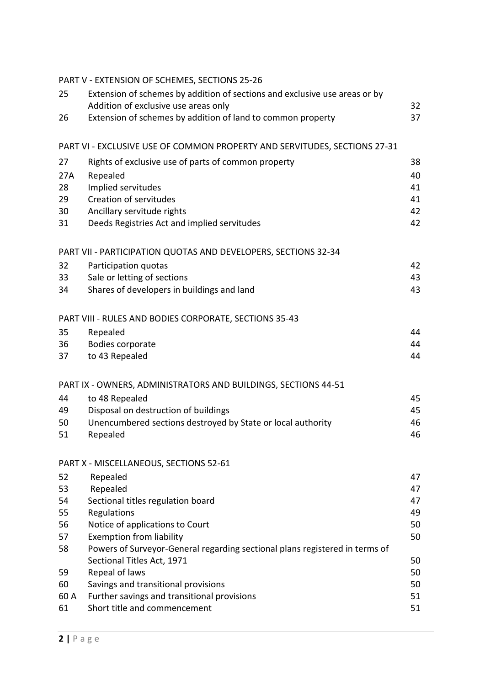|          | PART V - EXTENSION OF SCHEMES, SECTIONS 25-26                                                                  |    |
|----------|----------------------------------------------------------------------------------------------------------------|----|
| 25       | Extension of schemes by addition of sections and exclusive use areas or by                                     |    |
|          | Addition of exclusive use areas only                                                                           | 32 |
| 26       | Extension of schemes by addition of land to common property                                                    | 37 |
|          | PART VI - EXCLUSIVE USE OF COMMON PROPERTY AND SERVITUDES, SECTIONS 27-31                                      |    |
| 27       | Rights of exclusive use of parts of common property                                                            | 38 |
| 27A      | Repealed                                                                                                       | 40 |
| 28       | Implied servitudes                                                                                             | 41 |
| 29       | Creation of servitudes                                                                                         | 41 |
| 30       | Ancillary servitude rights                                                                                     | 42 |
| 31       | Deeds Registries Act and implied servitudes                                                                    | 42 |
|          | PART VII - PARTICIPATION QUOTAS AND DEVELOPERS, SECTIONS 32-34                                                 |    |
| 32       | Participation quotas                                                                                           | 42 |
| 33       | Sale or letting of sections                                                                                    | 43 |
| 34       | Shares of developers in buildings and land                                                                     | 43 |
|          | PART VIII - RULES AND BODIES CORPORATE, SECTIONS 35-43                                                         |    |
| 35       | Repealed                                                                                                       | 44 |
| 36       | Bodies corporate                                                                                               | 44 |
| 37       | to 43 Repealed                                                                                                 | 44 |
|          | PART IX - OWNERS, ADMINISTRATORS AND BUILDINGS, SECTIONS 44-51                                                 |    |
| 44       | to 48 Repealed                                                                                                 | 45 |
| 49       | Disposal on destruction of buildings                                                                           | 45 |
| 50       | Unencumbered sections destroyed by State or local authority                                                    | 46 |
| 51       | Repealed                                                                                                       | 46 |
|          | PART X - MISCELLANEOUS, SECTIONS 52-61                                                                         |    |
| 52       | Repealed                                                                                                       | 47 |
| 53       | Repealed                                                                                                       | 47 |
| 54       | Sectional titles regulation board                                                                              | 47 |
| 55       | Regulations                                                                                                    | 49 |
| 56       | Notice of applications to Court                                                                                | 50 |
| 57<br>58 | <b>Exemption from liability</b><br>Powers of Surveyor-General regarding sectional plans registered in terms of | 50 |
|          | Sectional Titles Act, 1971                                                                                     | 50 |
| 59       | Repeal of laws                                                                                                 | 50 |
| 60       | Savings and transitional provisions                                                                            | 50 |
| 60 A     | Further savings and transitional provisions                                                                    | 51 |
| 61       | Short title and commencement                                                                                   | 51 |
|          |                                                                                                                |    |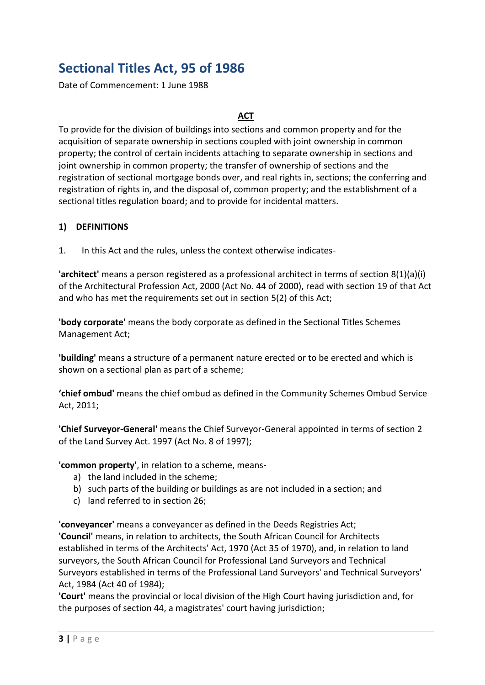## **Sectional Titles Act, 95 of 1986**

Date of Commencement: 1 June 1988

#### **ACT**

To provide for the division of buildings into sections and common property and for the acquisition of separate ownership in sections coupled with joint ownership in common property; the control of certain incidents attaching to separate ownership in sections and joint ownership in common property; the transfer of ownership of sections and the registration of sectional mortgage bonds over, and real rights in, sections; the conferring and registration of rights in, and the disposal of, common property; and the establishment of a sectional titles regulation board; and to provide for incidental matters.

#### **1) DEFINITIONS**

1. In this Act and the rules, unless the context otherwise indicates-

**'architect'** means a person registered as a professional architect in terms of section 8(1)(a)(i) of the Architectural Profession Act, 2000 (Act No. 44 of 2000), read with section 19 of that Act and who has met the requirements set out in section 5(2) of this Act;

**'body corporate'** means the body corporate as defined in the Sectional Titles Schemes Management Act;

**'building'** means a structure of a permanent nature erected or to be erected and which is shown on a sectional plan as part of a scheme;

**'chief ombud'** means the chief ombud as defined in the Community Schemes Ombud Service Act, 2011;

**'Chief Surveyor-General'** means the Chief Surveyor-General appointed in terms of section 2 of the Land Survey Act. 1997 (Act No. 8 of 1997);

**'common property'**, in relation to a scheme, means-

- a) the land included in the scheme;
- b) such parts of the building or buildings as are not included in a section; and
- c) land referred to in section 26;

**'conveyancer'** means a conveyancer as defined in the Deeds Registries Act;

**'Council'** means, in relation to architects, the South African Council for Architects established in terms of the Architects' Act, 1970 (Act 35 of 1970), and, in relation to land surveyors, the South African Council for Professional Land Surveyors and Technical Surveyors established in terms of the Professional Land Surveyors' and Technical Surveyors' Act, 1984 (Act 40 of 1984);

**'Court'** means the provincial or local division of the High Court having jurisdiction and, for the purposes of section 44, a magistrates' court having jurisdiction;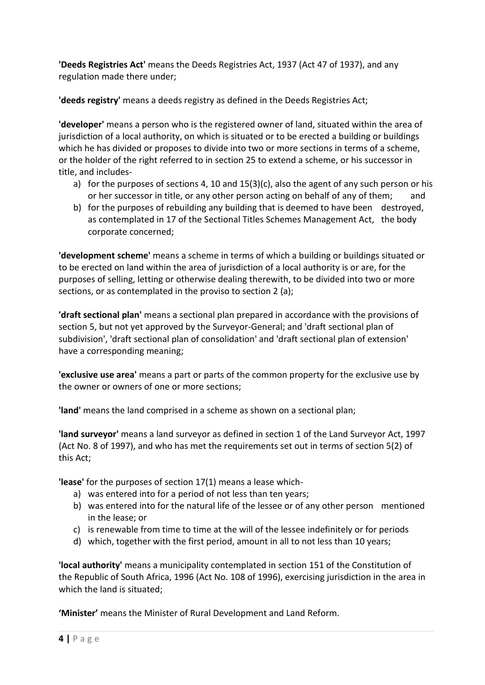**'Deeds Registries Act'** means the Deeds Registries Act, 1937 (Act 47 of 1937), and any regulation made there under;

**'deeds registry'** means a deeds registry as defined in the Deeds Registries Act;

**'developer'** means a person who is the registered owner of land, situated within the area of jurisdiction of a local authority, on which is situated or to be erected a building or buildings which he has divided or proposes to divide into two or more sections in terms of a scheme, or the holder of the right referred to in section 25 to extend a scheme, or his successor in title, and includes-

- a) for the purposes of sections 4, 10 and 15(3)(c), also the agent of any such person or his or her successor in title, or any other person acting on behalf of any of them; and
- b) for the purposes of rebuilding any building that is deemed to have been destroyed, as contemplated in 17 of the Sectional Titles Schemes Management Act, the body corporate concerned;

**'development scheme'** means a scheme in terms of which a building or buildings situated or to be erected on land within the area of jurisdiction of a local authority is or are, for the purposes of selling, letting or otherwise dealing therewith, to be divided into two or more sections, or as contemplated in the proviso to section 2 (a);

**'draft sectional plan'** means a sectional plan prepared in accordance with the provisions of section 5, but not yet approved by the Surveyor-General; and 'draft sectional plan of subdivision', 'draft sectional plan of consolidation' and 'draft sectional plan of extension' have a corresponding meaning;

**'exclusive use area'** means a part or parts of the common property for the exclusive use by the owner or owners of one or more sections;

**'land'** means the land comprised in a scheme as shown on a sectional plan;

**'land surveyor'** means a land surveyor as defined in section 1 of the Land Surveyor Act, 1997 (Act No. 8 of 1997), and who has met the requirements set out in terms of section 5(2) of this Act;

**'lease'** for the purposes of section 17(1) means a lease which-

- a) was entered into for a period of not less than ten years;
- b) was entered into for the natural life of the lessee or of any other person mentioned in the lease; or
- c) is renewable from time to time at the will of the lessee indefinitely or for periods
- d) which, together with the first period, amount in all to not less than 10 years;

**'local authority'** means a municipality contemplated in section 151 of the Constitution of the Republic of South Africa, 1996 (Act No. 108 of 1996), exercising jurisdiction in the area in which the land is situated;

**'Minister'** means the Minister of Rural Development and Land Reform.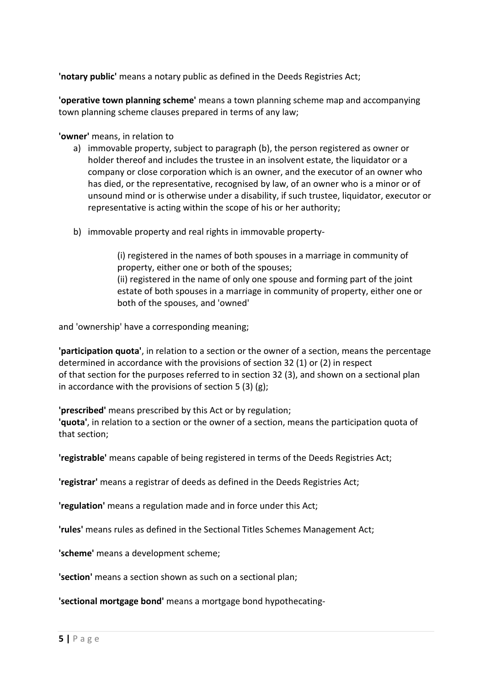**'notary public'** means a notary public as defined in the Deeds Registries Act;

**'operative town planning scheme'** means a town planning scheme map and accompanying town planning scheme clauses prepared in terms of any law;

**'owner'** means, in relation to

- a) immovable property, subject to paragraph (b), the person registered as owner or holder thereof and includes the trustee in an insolvent estate, the liquidator or a company or close corporation which is an owner, and the executor of an owner who has died, or the representative, recognised by law, of an owner who is a minor or of unsound mind or is otherwise under a disability, if such trustee, liquidator, executor or representative is acting within the scope of his or her authority;
- b) immovable property and real rights in immovable property-

(i) registered in the names of both spouses in a marriage in community of property, either one or both of the spouses; (ii) registered in the name of only one spouse and forming part of the joint estate of both spouses in a marriage in community of property, either one or

and 'ownership' have a corresponding meaning;

both of the spouses, and 'owned'

**'participation quota'**, in relation to a section or the owner of a section, means the percentage determined in accordance with the provisions of section 32 (1) or (2) in respect of that section for the purposes referred to in section 32 (3), and shown on a sectional plan in accordance with the provisions of section 5 (3) (g);

**'prescribed'** means prescribed by this Act or by regulation; **'quota'**, in relation to a section or the owner of a section, means the participation quota of that section;

**'registrable'** means capable of being registered in terms of the Deeds Registries Act;

**'registrar'** means a registrar of deeds as defined in the Deeds Registries Act;

**'regulation'** means a regulation made and in force under this Act;

**'rules'** means rules as defined in the Sectional Titles Schemes Management Act;

**'scheme'** means a development scheme;

**'section'** means a section shown as such on a sectional plan;

**'sectional mortgage bond'** means a mortgage bond hypothecating-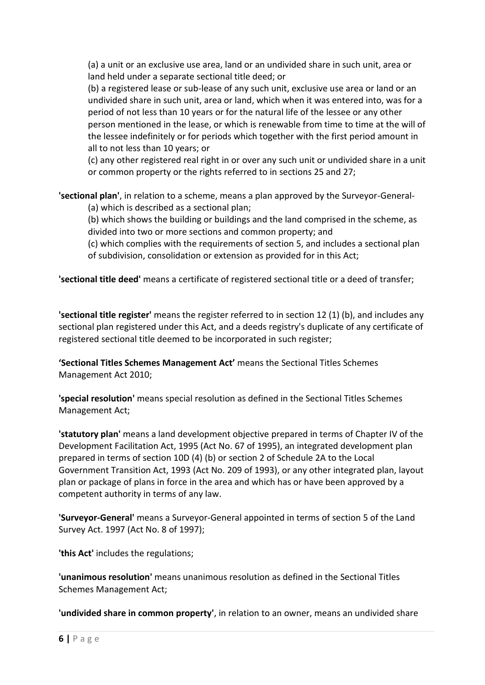(a) a unit or an exclusive use area, land or an undivided share in such unit, area or land held under a separate sectional title deed; or

(b) a registered lease or sub-lease of any such unit, exclusive use area or land or an undivided share in such unit, area or land, which when it was entered into, was for a period of not less than 10 years or for the natural life of the lessee or any other person mentioned in the lease, or which is renewable from time to time at the will of the lessee indefinitely or for periods which together with the first period amount in all to not less than 10 years; or

(c) any other registered real right in or over any such unit or undivided share in a unit or common property or the rights referred to in sections 25 and 27;

**'sectional plan'**, in relation to a scheme, means a plan approved by the Surveyor-General-

(a) which is described as a sectional plan;

(b) which shows the building or buildings and the land comprised in the scheme, as divided into two or more sections and common property; and

(c) which complies with the requirements of section 5, and includes a sectional plan of subdivision, consolidation or extension as provided for in this Act;

**'sectional title deed'** means a certificate of registered sectional title or a deed of transfer;

**'sectional title register'** means the register referred to in section 12 (1) (b), and includes any sectional plan registered under this Act, and a deeds registry's duplicate of any certificate of registered sectional title deemed to be incorporated in such register;

**'Sectional Titles Schemes Management Act'** means the Sectional Titles Schemes Management Act 2010;

**'special resolution'** means special resolution as defined in the Sectional Titles Schemes Management Act;

**'statutory plan'** means a land development objective prepared in terms of Chapter IV of the Development Facilitation Act, 1995 (Act No. 67 of 1995), an integrated development plan prepared in terms of section 10D (4) (b) or section 2 of Schedule 2A to the Local Government Transition Act, 1993 (Act No. 209 of 1993), or any other integrated plan, layout plan or package of plans in force in the area and which has or have been approved by a competent authority in terms of any law.

**'Surveyor-General'** means a Surveyor-General appointed in terms of section 5 of the Land Survey Act. 1997 (Act No. 8 of 1997);

**'this Act'** includes the regulations;

**'unanimous resolution'** means unanimous resolution as defined in the Sectional Titles Schemes Management Act;

**'undivided share in common property'**, in relation to an owner, means an undivided share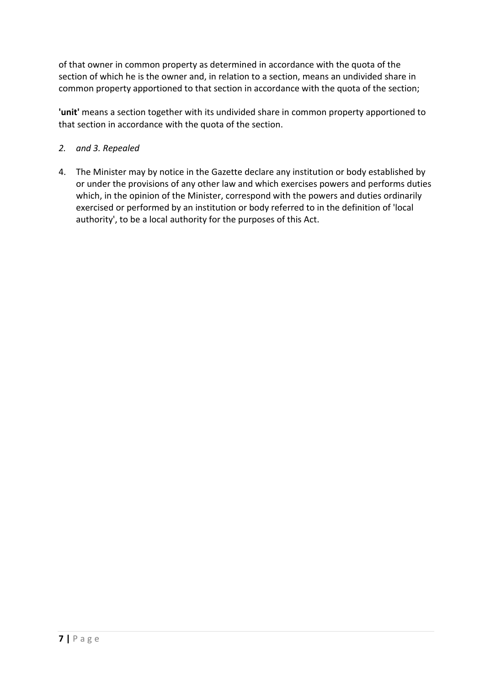of that owner in common property as determined in accordance with the quota of the section of which he is the owner and, in relation to a section, means an undivided share in common property apportioned to that section in accordance with the quota of the section;

**'unit'** means a section together with its undivided share in common property apportioned to that section in accordance with the quota of the section.

- *2. and 3. Repealed*
- 4. The Minister may by notice in the Gazette declare any institution or body established by or under the provisions of any other law and which exercises powers and performs duties which, in the opinion of the Minister, correspond with the powers and duties ordinarily exercised or performed by an institution or body referred to in the definition of 'local authority', to be a local authority for the purposes of this Act.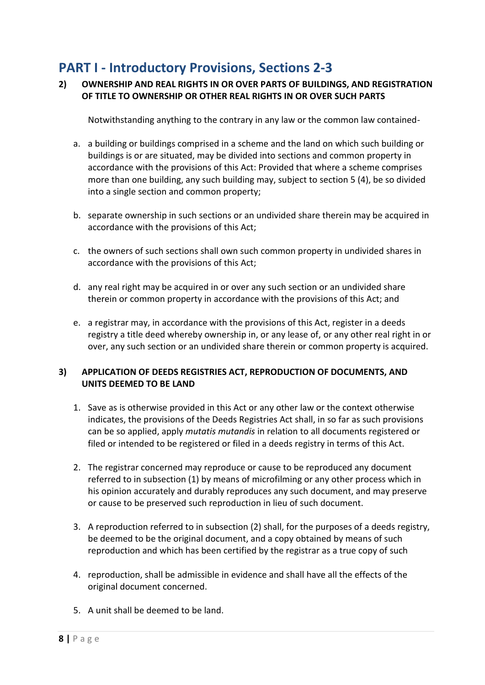## **PART I - Introductory Provisions, Sections 2-3**

#### **2) OWNERSHIP AND REAL RIGHTS IN OR OVER PARTS OF BUILDINGS, AND REGISTRATION OF TITLE TO OWNERSHIP OR OTHER REAL RIGHTS IN OR OVER SUCH PARTS**

Notwithstanding anything to the contrary in any law or the common law contained-

- a. a building or buildings comprised in a scheme and the land on which such building or buildings is or are situated, may be divided into sections and common property in accordance with the provisions of this Act: Provided that where a scheme comprises more than one building, any such building may, subject to section 5 (4), be so divided into a single section and common property;
- b. separate ownership in such sections or an undivided share therein may be acquired in accordance with the provisions of this Act;
- c. the owners of such sections shall own such common property in undivided shares in accordance with the provisions of this Act;
- d. any real right may be acquired in or over any such section or an undivided share therein or common property in accordance with the provisions of this Act; and
- e. a registrar may, in accordance with the provisions of this Act, register in a deeds registry a title deed whereby ownership in, or any lease of, or any other real right in or over, any such section or an undivided share therein or common property is acquired.

#### **3) APPLICATION OF DEEDS REGISTRIES ACT, REPRODUCTION OF DOCUMENTS, AND UNITS DEEMED TO BE LAND**

- 1. Save as is otherwise provided in this Act or any other law or the context otherwise indicates, the provisions of the Deeds Registries Act shall, in so far as such provisions can be so applied, apply *mutatis mutandis* in relation to all documents registered or filed or intended to be registered or filed in a deeds registry in terms of this Act.
- 2. The registrar concerned may reproduce or cause to be reproduced any document referred to in subsection (1) by means of microfilming or any other process which in his opinion accurately and durably reproduces any such document, and may preserve or cause to be preserved such reproduction in lieu of such document.
- 3. A reproduction referred to in subsection (2) shall, for the purposes of a deeds registry, be deemed to be the original document, and a copy obtained by means of such reproduction and which has been certified by the registrar as a true copy of such
- 4. reproduction, shall be admissible in evidence and shall have all the effects of the original document concerned.
- 5. A unit shall be deemed to be land.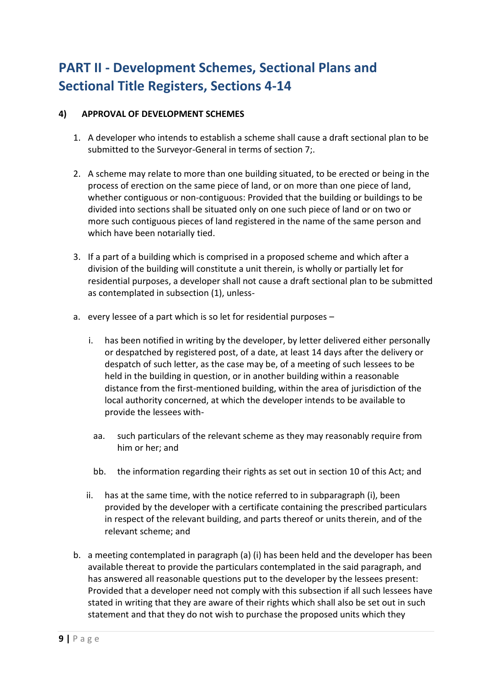# **PART II - Development Schemes, Sectional Plans and Sectional Title Registers, Sections 4-14**

#### **4) APPROVAL OF DEVELOPMENT SCHEMES**

- 1. A developer who intends to establish a scheme shall cause a draft sectional plan to be submitted to the Surveyor-General in terms of section 7;.
- 2. A scheme may relate to more than one building situated, to be erected or being in the process of erection on the same piece of land, or on more than one piece of land, whether contiguous or non-contiguous: Provided that the building or buildings to be divided into sections shall be situated only on one such piece of land or on two or more such contiguous pieces of land registered in the name of the same person and which have been notarially tied.
- 3. If a part of a building which is comprised in a proposed scheme and which after a division of the building will constitute a unit therein, is wholly or partially let for residential purposes, a developer shall not cause a draft sectional plan to be submitted as contemplated in subsection (1), unless-
- a. every lessee of a part which is so let for residential purposes
	- i. has been notified in writing by the developer, by letter delivered either personally or despatched by registered post, of a date, at least 14 days after the delivery or despatch of such letter, as the case may be, of a meeting of such lessees to be held in the building in question, or in another building within a reasonable distance from the first-mentioned building, within the area of jurisdiction of the local authority concerned, at which the developer intends to be available to provide the lessees with-
	- aa. such particulars of the relevant scheme as they may reasonably require from him or her; and
	- bb. the information regarding their rights as set out in section 10 of this Act; and
	- ii. has at the same time, with the notice referred to in subparagraph (i), been provided by the developer with a certificate containing the prescribed particulars in respect of the relevant building, and parts thereof or units therein, and of the relevant scheme; and
- b. a meeting contemplated in paragraph (a) (i) has been held and the developer has been available thereat to provide the particulars contemplated in the said paragraph, and has answered all reasonable questions put to the developer by the lessees present: Provided that a developer need not comply with this subsection if all such lessees have stated in writing that they are aware of their rights which shall also be set out in such statement and that they do not wish to purchase the proposed units which they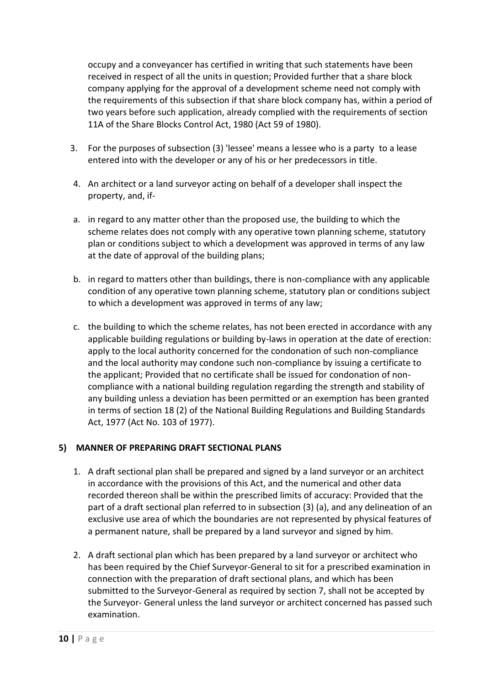occupy and a conveyancer has certified in writing that such statements have been received in respect of all the units in question; Provided further that a share block company applying for the approval of a development scheme need not comply with the requirements of this subsection if that share block company has, within a period of two years before such application, already complied with the requirements of section 11A of the Share Blocks Control Act, 1980 (Act 59 of 1980).

- 3. For the purposes of subsection (3) 'lessee' means a lessee who is a party to a lease entered into with the developer or any of his or her predecessors in title.
- 4. An architect or a land surveyor acting on behalf of a developer shall inspect the property, and, if-
- a. in regard to any matter other than the proposed use, the building to which the scheme relates does not comply with any operative town planning scheme, statutory plan or conditions subject to which a development was approved in terms of any law at the date of approval of the building plans;
- b. in regard to matters other than buildings, there is non-compliance with any applicable condition of any operative town planning scheme, statutory plan or conditions subject to which a development was approved in terms of any law;
- c. the building to which the scheme relates, has not been erected in accordance with any applicable building regulations or building by-laws in operation at the date of erection: apply to the local authority concerned for the condonation of such non-compliance and the local authority may condone such non-compliance by issuing a certificate to the applicant; Provided that no certificate shall be issued for condonation of noncompliance with a national building regulation regarding the strength and stability of any building unless a deviation has been permitted or an exemption has been granted in terms of section 18 (2) of the National Building Regulations and Building Standards Act, 1977 (Act No. 103 of 1977).

#### **5) MANNER OF PREPARING DRAFT SECTIONAL PLANS**

- 1. A draft sectional plan shall be prepared and signed by a land surveyor or an architect in accordance with the provisions of this Act, and the numerical and other data recorded thereon shall be within the prescribed limits of accuracy: Provided that the part of a draft sectional plan referred to in subsection (3) (a), and any delineation of an exclusive use area of which the boundaries are not represented by physical features of a permanent nature, shall be prepared by a land surveyor and signed by him.
- 2. A draft sectional plan which has been prepared by a land surveyor or architect who has been required by the Chief Surveyor-General to sit for a prescribed examination in connection with the preparation of draft sectional plans, and which has been submitted to the Surveyor-General as required by section 7, shall not be accepted by the Surveyor- General unless the land surveyor or architect concerned has passed such examination.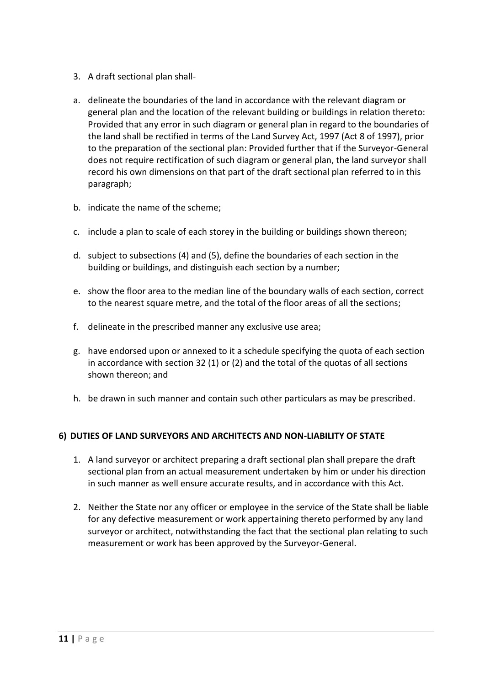- 3. A draft sectional plan shall-
- a. delineate the boundaries of the land in accordance with the relevant diagram or general plan and the location of the relevant building or buildings in relation thereto: Provided that any error in such diagram or general plan in regard to the boundaries of the land shall be rectified in terms of the Land Survey Act, 1997 (Act 8 of 1997), prior to the preparation of the sectional plan: Provided further that if the Surveyor-General does not require rectification of such diagram or general plan, the land surveyor shall record his own dimensions on that part of the draft sectional plan referred to in this paragraph;
- b. indicate the name of the scheme;
- c. include a plan to scale of each storey in the building or buildings shown thereon;
- d. subject to subsections (4) and (5), define the boundaries of each section in the building or buildings, and distinguish each section by a number;
- e. show the floor area to the median line of the boundary walls of each section, correct to the nearest square metre, and the total of the floor areas of all the sections;
- f. delineate in the prescribed manner any exclusive use area;
- g. have endorsed upon or annexed to it a schedule specifying the quota of each section in accordance with section 32 (1) or (2) and the total of the quotas of all sections shown thereon; and
- h. be drawn in such manner and contain such other particulars as may be prescribed.

#### **6) DUTIES OF LAND SURVEYORS AND ARCHITECTS AND NON-LIABILITY OF STATE**

- 1. A land surveyor or architect preparing a draft sectional plan shall prepare the draft sectional plan from an actual measurement undertaken by him or under his direction in such manner as well ensure accurate results, and in accordance with this Act.
- 2. Neither the State nor any officer or employee in the service of the State shall be liable for any defective measurement or work appertaining thereto performed by any land surveyor or architect, notwithstanding the fact that the sectional plan relating to such measurement or work has been approved by the Surveyor-General.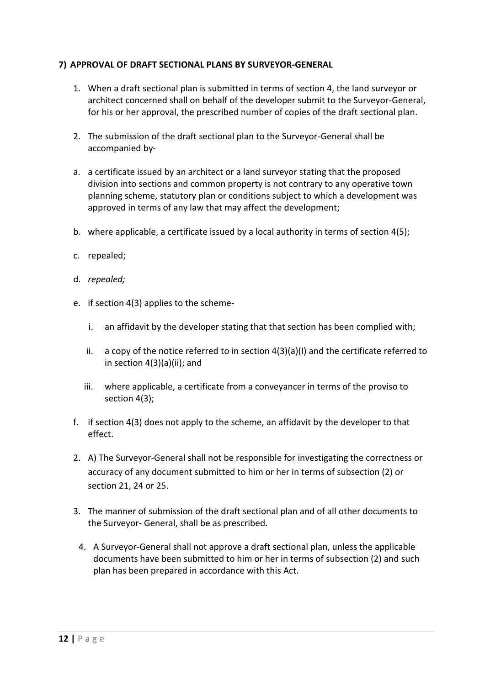#### **7) APPROVAL OF DRAFT SECTIONAL PLANS BY SURVEYOR-GENERAL**

- 1. When a draft sectional plan is submitted in terms of section 4, the land surveyor or architect concerned shall on behalf of the developer submit to the Surveyor-General, for his or her approval, the prescribed number of copies of the draft sectional plan.
- 2. The submission of the draft sectional plan to the Surveyor-General shall be accompanied by-
- a. a certificate issued by an architect or a land surveyor stating that the proposed division into sections and common property is not contrary to any operative town planning scheme, statutory plan or conditions subject to which a development was approved in terms of any law that may affect the development;
- b. where applicable, a certificate issued by a local authority in terms of section 4(5);
- c. repealed;
- d. *repealed;*
- e. if section 4(3) applies to the scheme
	- i. an affidavit by the developer stating that that section has been complied with;
	- ii. a copy of the notice referred to in section 4(3)(a)(I) and the certificate referred to in section 4(3)(a)(ii); and
	- iii. where applicable, a certificate from a conveyancer in terms of the proviso to section 4(3);
- f. if section 4(3) does not apply to the scheme, an affidavit by the developer to that effect.
- 2. A) The Surveyor-General shall not be responsible for investigating the correctness or accuracy of any document submitted to him or her in terms of subsection (2) or section 21, 24 or 25.
- 3. The manner of submission of the draft sectional plan and of all other documents to the Surveyor- General, shall be as prescribed.
- 4. A Surveyor-General shall not approve a draft sectional plan, unless the applicable documents have been submitted to him or her in terms of subsection (2) and such plan has been prepared in accordance with this Act.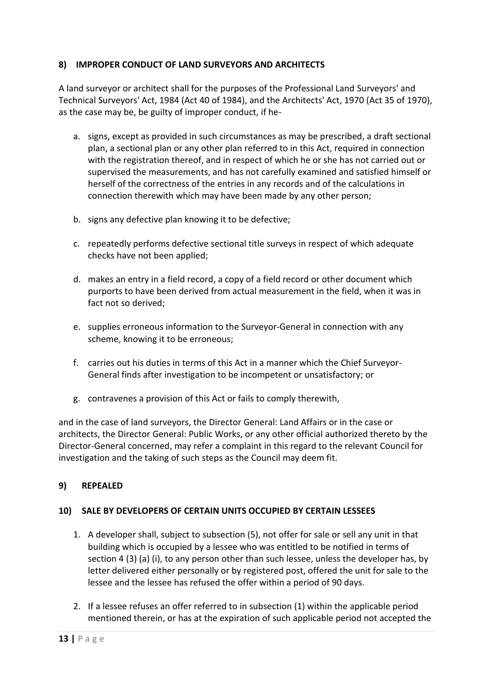#### **8) IMPROPER CONDUCT OF LAND SURVEYORS AND ARCHITECTS**

A land surveyor or architect shall for the purposes of the Professional Land Surveyors' and Technical Surveyors' Act, 1984 (Act 40 of 1984), and the Architects' Act, 1970 (Act 35 of 1970), as the case may be, be guilty of improper conduct, if he-

- a. signs, except as provided in such circumstances as may be prescribed, a draft sectional plan, a sectional plan or any other plan referred to in this Act, required in connection with the registration thereof, and in respect of which he or she has not carried out or supervised the measurements, and has not carefully examined and satisfied himself or herself of the correctness of the entries in any records and of the calculations in connection therewith which may have been made by any other person;
- b. signs any defective plan knowing it to be defective;
- c. repeatedly performs defective sectional title surveys in respect of which adequate checks have not been applied;
- d. makes an entry in a field record, a copy of a field record or other document which purports to have been derived from actual measurement in the field, when it was in fact not so derived;
- e. supplies erroneous information to the Surveyor-General in connection with any scheme, knowing it to be erroneous;
- f. carries out his duties in terms of this Act in a manner which the Chief Surveyor-General finds after investigation to be incompetent or unsatisfactory; or
- g. contravenes a provision of this Act or fails to comply therewith,

and in the case of land surveyors, the Director General: Land Affairs or in the case or architects, the Director General: Public Works, or any other official authorized thereto by the Director-General concerned, may refer a complaint in this regard to the relevant Council for investigation and the taking of such steps as the Council may deem fit.

#### **9) REPEALED**

#### **10) SALE BY DEVELOPERS OF CERTAIN UNITS OCCUPIED BY CERTAIN LESSEES**

- 1. A developer shall, subject to subsection (5), not offer for sale or sell any unit in that building which is occupied by a lessee who was entitled to be notified in terms of section 4 (3) (a) (i), to any person other than such lessee, unless the developer has, by letter delivered either personally or by registered post, offered the unit for sale to the lessee and the lessee has refused the offer within a period of 90 days.
- 2. If a lessee refuses an offer referred to in subsection (1) within the applicable period mentioned therein, or has at the expiration of such applicable period not accepted the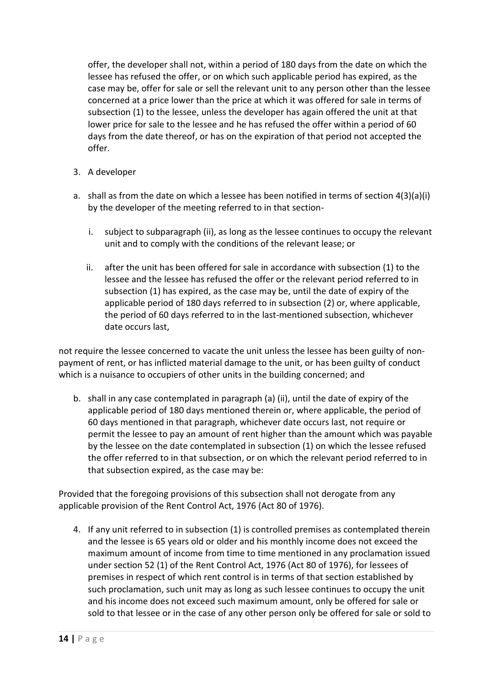offer, the developer shall not, within a period of 180 days from the date on which the lessee has refused the offer, or on which such applicable period has expired, as the case may be, offer for sale or sell the relevant unit to any person other than the lessee concerned at a price lower than the price at which it was offered for sale in terms of subsection (1) to the lessee, unless the developer has again offered the unit at that lower price for sale to the lessee and he has refused the offer within a period of 60 days from the date thereof, or has on the expiration of that period not accepted the offer.

- 3. A developer
- a. shall as from the date on which a lessee has been notified in terms of section 4(3)(a)(i) by the developer of the meeting referred to in that section
	- i. subject to subparagraph (ii), as long as the lessee continues to occupy the relevant unit and to comply with the conditions of the relevant lease; or
	- ii. after the unit has been offered for sale in accordance with subsection (1) to the lessee and the lessee has refused the offer or the relevant period referred to in subsection (1) has expired, as the case may be, until the date of expiry of the applicable period of 180 days referred to in subsection (2) or, where applicable, the period of 60 days referred to in the last-mentioned subsection, whichever date occurs last,

not require the lessee concerned to vacate the unit unless the lessee has been guilty of nonpayment of rent, or has inflicted material damage to the unit, or has been guilty of conduct which is a nuisance to occupiers of other units in the building concerned; and

b. shall in any case contemplated in paragraph (a) (ii), until the date of expiry of the applicable period of 180 days mentioned therein or, where applicable, the period of 60 days mentioned in that paragraph, whichever date occurs last, not require or permit the lessee to pay an amount of rent higher than the amount which was payable by the lessee on the date contemplated in subsection (1) on which the lessee refused the offer referred to in that subsection, or on which the relevant period referred to in that subsection expired, as the case may be:

Provided that the foregoing provisions of this subsection shall not derogate from any applicable provision of the Rent Control Act, 1976 (Act 80 of 1976).

4. If any unit referred to in subsection (1) is controlled premises as contemplated therein and the lessee is 65 years old or older and his monthly income does not exceed the maximum amount of income from time to time mentioned in any proclamation issued under section 52 (1) of the Rent Control Act, 1976 (Act 80 of 1976), for lessees of premises in respect of which rent control is in terms of that section established by such proclamation, such unit may as long as such lessee continues to occupy the unit and his income does not exceed such maximum amount, only be offered for sale or sold to that lessee or in the case of any other person only be offered for sale or sold to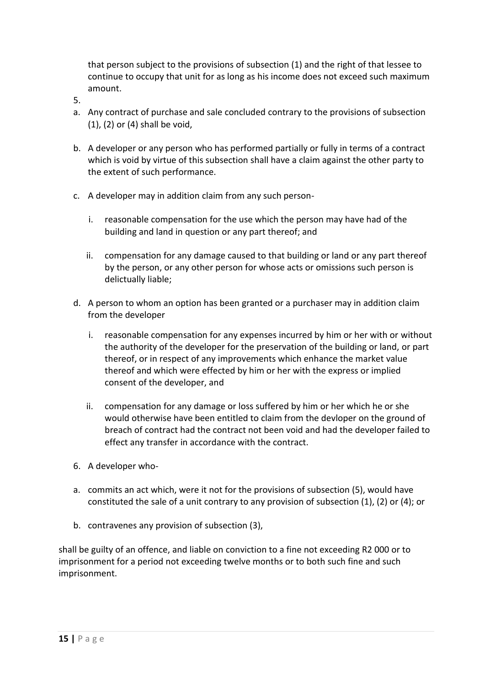that person subject to the provisions of subsection (1) and the right of that lessee to continue to occupy that unit for as long as his income does not exceed such maximum amount.

- 5.
- a. Any contract of purchase and sale concluded contrary to the provisions of subsection (1), (2) or (4) shall be void,
- b. A developer or any person who has performed partially or fully in terms of a contract which is void by virtue of this subsection shall have a claim against the other party to the extent of such performance.
- c. A developer may in addition claim from any such person
	- i. reasonable compensation for the use which the person may have had of the building and land in question or any part thereof; and
	- ii. compensation for any damage caused to that building or land or any part thereof by the person, or any other person for whose acts or omissions such person is delictually liable;
- d. A person to whom an option has been granted or a purchaser may in addition claim from the developer
	- i. reasonable compensation for any expenses incurred by him or her with or without the authority of the developer for the preservation of the building or land, or part thereof, or in respect of any improvements which enhance the market value thereof and which were effected by him or her with the express or implied consent of the developer, and
	- ii. compensation for any damage or loss suffered by him or her which he or she would otherwise have been entitled to claim from the devloper on the ground of breach of contract had the contract not been void and had the developer failed to effect any transfer in accordance with the contract.
- 6. A developer who-
- a. commits an act which, were it not for the provisions of subsection (5), would have constituted the sale of a unit contrary to any provision of subsection (1), (2) or (4); or
- b. contravenes any provision of subsection (3),

shall be guilty of an offence, and liable on conviction to a fine not exceeding R2 000 or to imprisonment for a period not exceeding twelve months or to both such fine and such imprisonment.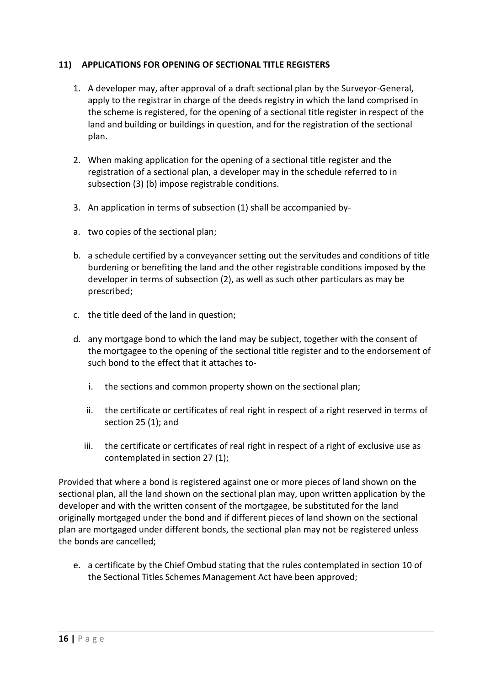#### **11) APPLICATIONS FOR OPENING OF SECTIONAL TITLE REGISTERS**

- 1. A developer may, after approval of a draft sectional plan by the Surveyor-General, apply to the registrar in charge of the deeds registry in which the land comprised in the scheme is registered, for the opening of a sectional title register in respect of the land and building or buildings in question, and for the registration of the sectional plan.
- 2. When making application for the opening of a sectional title register and the registration of a sectional plan, a developer may in the schedule referred to in subsection (3) (b) impose registrable conditions.
- 3. An application in terms of subsection (1) shall be accompanied by-
- a. two copies of the sectional plan;
- b. a schedule certified by a conveyancer setting out the servitudes and conditions of title burdening or benefiting the land and the other registrable conditions imposed by the developer in terms of subsection (2), as well as such other particulars as may be prescribed;
- c. the title deed of the land in question;
- d. any mortgage bond to which the land may be subject, together with the consent of the mortgagee to the opening of the sectional title register and to the endorsement of such bond to the effect that it attaches to
	- i. the sections and common property shown on the sectional plan;
	- ii. the certificate or certificates of real right in respect of a right reserved in terms of section 25 (1); and
	- iii. the certificate or certificates of real right in respect of a right of exclusive use as contemplated in section 27 (1);

Provided that where a bond is registered against one or more pieces of land shown on the sectional plan, all the land shown on the sectional plan may, upon written application by the developer and with the written consent of the mortgagee, be substituted for the land originally mortgaged under the bond and if different pieces of land shown on the sectional plan are mortgaged under different bonds, the sectional plan may not be registered unless the bonds are cancelled;

e. a certificate by the Chief Ombud stating that the rules contemplated in section 10 of the Sectional Titles Schemes Management Act have been approved;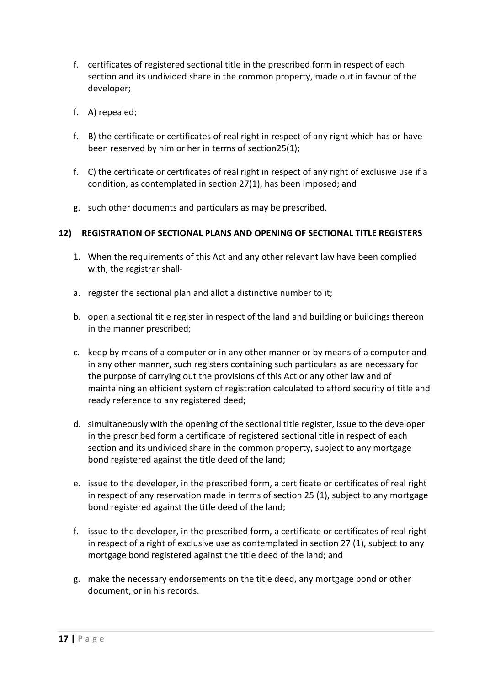- f. certificates of registered sectional title in the prescribed form in respect of each section and its undivided share in the common property, made out in favour of the developer;
- f. A) repealed;
- f. B) the certificate or certificates of real right in respect of any right which has or have been reserved by him or her in terms of section25(1);
- f. C) the certificate or certificates of real right in respect of any right of exclusive use if a condition, as contemplated in section 27(1), has been imposed; and
- g. such other documents and particulars as may be prescribed.

#### **12) REGISTRATION OF SECTIONAL PLANS AND OPENING OF SECTIONAL TITLE REGISTERS**

- 1. When the requirements of this Act and any other relevant law have been complied with, the registrar shall-
- a. register the sectional plan and allot a distinctive number to it;
- b. open a sectional title register in respect of the land and building or buildings thereon in the manner prescribed;
- c. keep by means of a computer or in any other manner or by means of a computer and in any other manner, such registers containing such particulars as are necessary for the purpose of carrying out the provisions of this Act or any other law and of maintaining an efficient system of registration calculated to afford security of title and ready reference to any registered deed;
- d. simultaneously with the opening of the sectional title register, issue to the developer in the prescribed form a certificate of registered sectional title in respect of each section and its undivided share in the common property, subject to any mortgage bond registered against the title deed of the land;
- e. issue to the developer, in the prescribed form, a certificate or certificates of real right in respect of any reservation made in terms of section 25 (1), subject to any mortgage bond registered against the title deed of the land;
- f. issue to the developer, in the prescribed form, a certificate or certificates of real right in respect of a right of exclusive use as contemplated in section 27 (1), subject to any mortgage bond registered against the title deed of the land; and
- g. make the necessary endorsements on the title deed, any mortgage bond or other document, or in his records.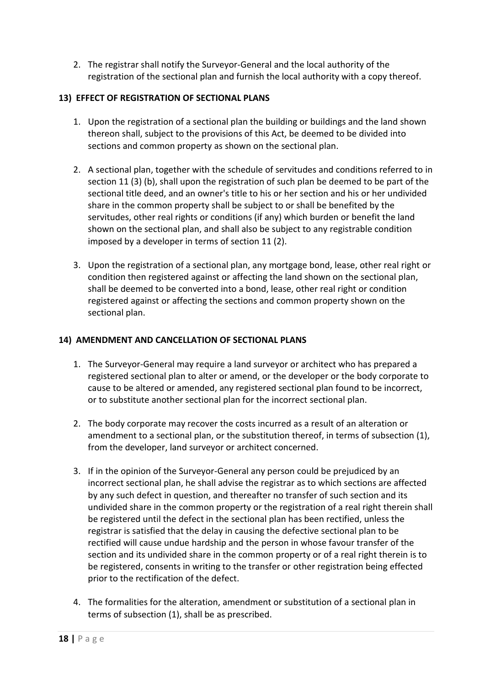2. The registrar shall notify the Surveyor-General and the local authority of the registration of the sectional plan and furnish the local authority with a copy thereof.

#### **13) EFFECT OF REGISTRATION OF SECTIONAL PLANS**

- 1. Upon the registration of a sectional plan the building or buildings and the land shown thereon shall, subject to the provisions of this Act, be deemed to be divided into sections and common property as shown on the sectional plan.
- 2. A sectional plan, together with the schedule of servitudes and conditions referred to in section 11 (3) (b), shall upon the registration of such plan be deemed to be part of the sectional title deed, and an owner's title to his or her section and his or her undivided share in the common property shall be subject to or shall be benefited by the servitudes, other real rights or conditions (if any) which burden or benefit the land shown on the sectional plan, and shall also be subject to any registrable condition imposed by a developer in terms of section 11 (2).
- 3. Upon the registration of a sectional plan, any mortgage bond, lease, other real right or condition then registered against or affecting the land shown on the sectional plan, shall be deemed to be converted into a bond, lease, other real right or condition registered against or affecting the sections and common property shown on the sectional plan.

#### **14) AMENDMENT AND CANCELLATION OF SECTIONAL PLANS**

- 1. The Surveyor-General may require a land surveyor or architect who has prepared a registered sectional plan to alter or amend, or the developer or the body corporate to cause to be altered or amended, any registered sectional plan found to be incorrect, or to substitute another sectional plan for the incorrect sectional plan.
- 2. The body corporate may recover the costs incurred as a result of an alteration or amendment to a sectional plan, or the substitution thereof, in terms of subsection (1), from the developer, land surveyor or architect concerned.
- 3. If in the opinion of the Surveyor-General any person could be prejudiced by an incorrect sectional plan, he shall advise the registrar as to which sections are affected by any such defect in question, and thereafter no transfer of such section and its undivided share in the common property or the registration of a real right therein shall be registered until the defect in the sectional plan has been rectified, unless the registrar is satisfied that the delay in causing the defective sectional plan to be rectified will cause undue hardship and the person in whose favour transfer of the section and its undivided share in the common property or of a real right therein is to be registered, consents in writing to the transfer or other registration being effected prior to the rectification of the defect.
- 4. The formalities for the alteration, amendment or substitution of a sectional plan in terms of subsection (1), shall be as prescribed.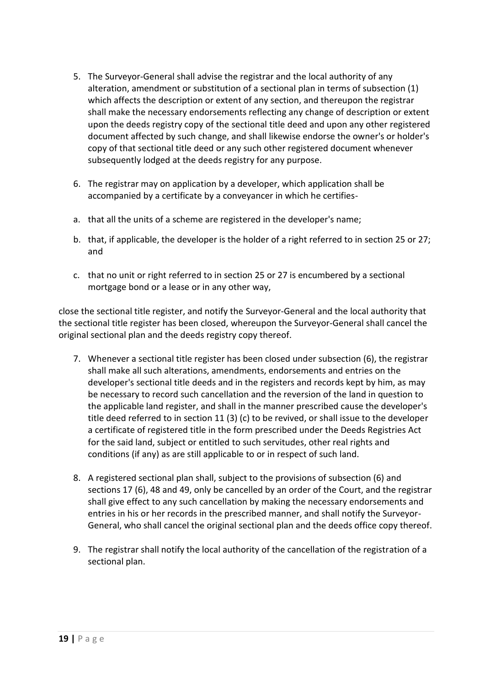- 5. The Surveyor-General shall advise the registrar and the local authority of any alteration, amendment or substitution of a sectional plan in terms of subsection (1) which affects the description or extent of any section, and thereupon the registrar shall make the necessary endorsements reflecting any change of description or extent upon the deeds registry copy of the sectional title deed and upon any other registered document affected by such change, and shall likewise endorse the owner's or holder's copy of that sectional title deed or any such other registered document whenever subsequently lodged at the deeds registry for any purpose.
- 6. The registrar may on application by a developer, which application shall be accompanied by a certificate by a conveyancer in which he certifies-
- a. that all the units of a scheme are registered in the developer's name;
- b. that, if applicable, the developer is the holder of a right referred to in section 25 or 27; and
- c. that no unit or right referred to in section 25 or 27 is encumbered by a sectional mortgage bond or a lease or in any other way,

close the sectional title register, and notify the Surveyor-General and the local authority that the sectional title register has been closed, whereupon the Surveyor-General shall cancel the original sectional plan and the deeds registry copy thereof.

- 7. Whenever a sectional title register has been closed under subsection (6), the registrar shall make all such alterations, amendments, endorsements and entries on the developer's sectional title deeds and in the registers and records kept by him, as may be necessary to record such cancellation and the reversion of the land in question to the applicable land register, and shall in the manner prescribed cause the developer's title deed referred to in section 11 (3) (c) to be revived, or shall issue to the developer a certificate of registered title in the form prescribed under the Deeds Registries Act for the said land, subject or entitled to such servitudes, other real rights and conditions (if any) as are still applicable to or in respect of such land.
- 8. A registered sectional plan shall, subject to the provisions of subsection (6) and sections 17 (6), 48 and 49, only be cancelled by an order of the Court, and the registrar shall give effect to any such cancellation by making the necessary endorsements and entries in his or her records in the prescribed manner, and shall notify the Surveyor-General, who shall cancel the original sectional plan and the deeds office copy thereof.
- 9. The registrar shall notify the local authority of the cancellation of the registration of a sectional plan.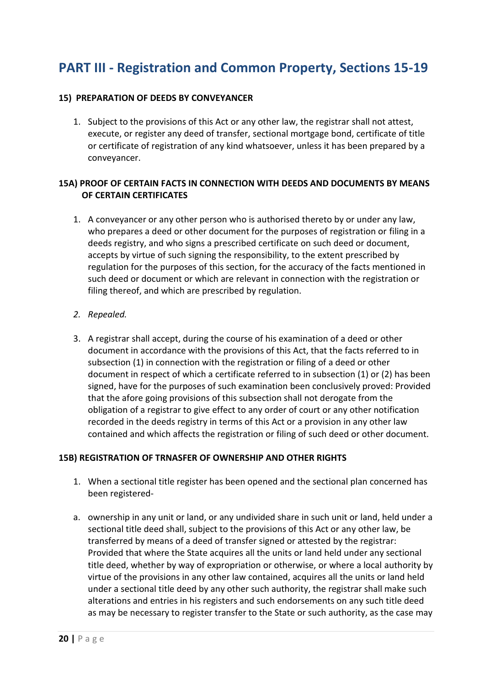## **PART III - Registration and Common Property, Sections 15-19**

#### **15) PREPARATION OF DEEDS BY CONVEYANCER**

1. Subject to the provisions of this Act or any other law, the registrar shall not attest, execute, or register any deed of transfer, sectional mortgage bond, certificate of title or certificate of registration of any kind whatsoever, unless it has been prepared by a conveyancer.

#### **15A) PROOF OF CERTAIN FACTS IN CONNECTION WITH DEEDS AND DOCUMENTS BY MEANS OF CERTAIN CERTIFICATES**

1. A conveyancer or any other person who is authorised thereto by or under any law, who prepares a deed or other document for the purposes of registration or filing in a deeds registry, and who signs a prescribed certificate on such deed or document, accepts by virtue of such signing the responsibility, to the extent prescribed by regulation for the purposes of this section, for the accuracy of the facts mentioned in such deed or document or which are relevant in connection with the registration or filing thereof, and which are prescribed by regulation.

#### *2. Repealed.*

3. A registrar shall accept, during the course of his examination of a deed or other document in accordance with the provisions of this Act, that the facts referred to in subsection (1) in connection with the registration or filing of a deed or other document in respect of which a certificate referred to in subsection (1) or (2) has been signed, have for the purposes of such examination been conclusively proved: Provided that the afore going provisions of this subsection shall not derogate from the obligation of a registrar to give effect to any order of court or any other notification recorded in the deeds registry in terms of this Act or a provision in any other law contained and which affects the registration or filing of such deed or other document.

#### **15B) REGISTRATION OF TRNASFER OF OWNERSHIP AND OTHER RIGHTS**

- 1. When a sectional title register has been opened and the sectional plan concerned has been registered-
- a. ownership in any unit or land, or any undivided share in such unit or land, held under a sectional title deed shall, subject to the provisions of this Act or any other law, be transferred by means of a deed of transfer signed or attested by the registrar: Provided that where the State acquires all the units or land held under any sectional title deed, whether by way of expropriation or otherwise, or where a local authority by virtue of the provisions in any other law contained, acquires all the units or land held under a sectional title deed by any other such authority, the registrar shall make such alterations and entries in his registers and such endorsements on any such title deed as may be necessary to register transfer to the State or such authority, as the case may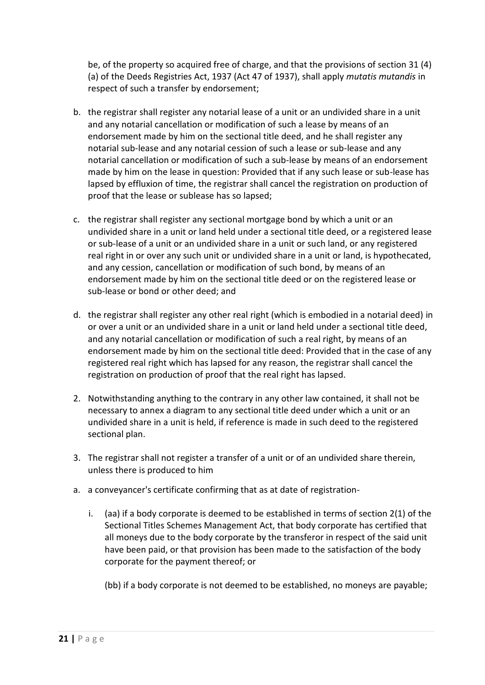be, of the property so acquired free of charge, and that the provisions of section 31 (4) (a) of the Deeds Registries Act, 1937 (Act 47 of 1937), shall apply *mutatis mutandis* in respect of such a transfer by endorsement;

- b. the registrar shall register any notarial lease of a unit or an undivided share in a unit and any notarial cancellation or modification of such a lease by means of an endorsement made by him on the sectional title deed, and he shall register any notarial sub-lease and any notarial cession of such a lease or sub-lease and any notarial cancellation or modification of such a sub-lease by means of an endorsement made by him on the lease in question: Provided that if any such lease or sub-lease has lapsed by effluxion of time, the registrar shall cancel the registration on production of proof that the lease or sublease has so lapsed;
- c. the registrar shall register any sectional mortgage bond by which a unit or an undivided share in a unit or land held under a sectional title deed, or a registered lease or sub-lease of a unit or an undivided share in a unit or such land, or any registered real right in or over any such unit or undivided share in a unit or land, is hypothecated, and any cession, cancellation or modification of such bond, by means of an endorsement made by him on the sectional title deed or on the registered lease or sub-lease or bond or other deed; and
- d. the registrar shall register any other real right (which is embodied in a notarial deed) in or over a unit or an undivided share in a unit or land held under a sectional title deed, and any notarial cancellation or modification of such a real right, by means of an endorsement made by him on the sectional title deed: Provided that in the case of any registered real right which has lapsed for any reason, the registrar shall cancel the registration on production of proof that the real right has lapsed.
- 2. Notwithstanding anything to the contrary in any other law contained, it shall not be necessary to annex a diagram to any sectional title deed under which a unit or an undivided share in a unit is held, if reference is made in such deed to the registered sectional plan.
- 3. The registrar shall not register a transfer of a unit or of an undivided share therein, unless there is produced to him
- a. a conveyancer's certificate confirming that as at date of registration
	- i. (aa) if a body corporate is deemed to be established in terms of section 2(1) of the Sectional Titles Schemes Management Act, that body corporate has certified that all moneys due to the body corporate by the transferor in respect of the said unit have been paid, or that provision has been made to the satisfaction of the body corporate for the payment thereof; or

(bb) if a body corporate is not deemed to be established, no moneys are payable;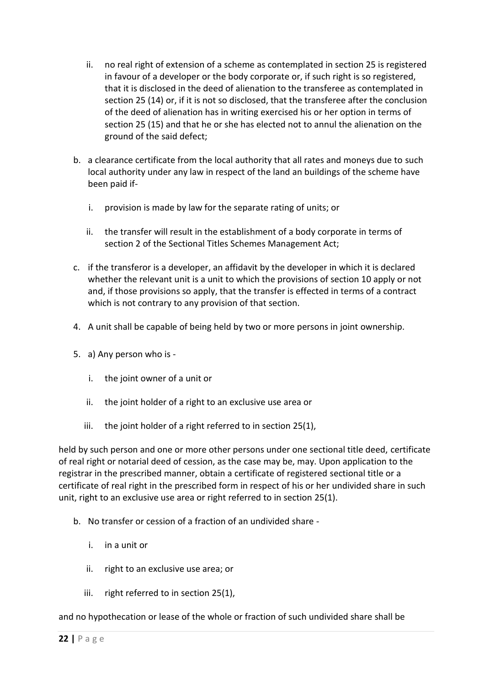- ii. no real right of extension of a scheme as contemplated in section 25 is registered in favour of a developer or the body corporate or, if such right is so registered, that it is disclosed in the deed of alienation to the transferee as contemplated in section 25 (14) or, if it is not so disclosed, that the transferee after the conclusion of the deed of alienation has in writing exercised his or her option in terms of section 25 (15) and that he or she has elected not to annul the alienation on the ground of the said defect;
- b. a clearance certificate from the local authority that all rates and moneys due to such local authority under any law in respect of the land an buildings of the scheme have been paid if
	- i. provision is made by law for the separate rating of units; or
	- ii. the transfer will result in the establishment of a body corporate in terms of section 2 of the Sectional Titles Schemes Management Act;
- c. if the transferor is a developer, an affidavit by the developer in which it is declared whether the relevant unit is a unit to which the provisions of section 10 apply or not and, if those provisions so apply, that the transfer is effected in terms of a contract which is not contrary to any provision of that section.
- 4. A unit shall be capable of being held by two or more persons in joint ownership.
- 5. a) Any person who is
	- i. the joint owner of a unit or
	- ii. the joint holder of a right to an exclusive use area or
	- iii. the joint holder of a right referred to in section 25(1),

held by such person and one or more other persons under one sectional title deed, certificate of real right or notarial deed of cession, as the case may be, may. Upon application to the registrar in the prescribed manner, obtain a certificate of registered sectional title or a certificate of real right in the prescribed form in respect of his or her undivided share in such unit, right to an exclusive use area or right referred to in section 25(1).

- b. No transfer or cession of a fraction of an undivided share
	- i. in a unit or
	- ii. right to an exclusive use area; or
	- iii. right referred to in section 25(1),

and no hypothecation or lease of the whole or fraction of such undivided share shall be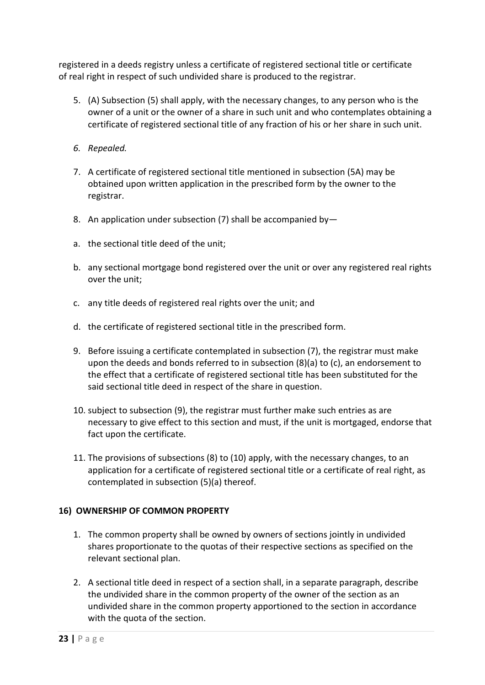registered in a deeds registry unless a certificate of registered sectional title or certificate of real right in respect of such undivided share is produced to the registrar.

- 5. (A) Subsection (5) shall apply, with the necessary changes, to any person who is the owner of a unit or the owner of a share in such unit and who contemplates obtaining a certificate of registered sectional title of any fraction of his or her share in such unit.
- *6. Repealed.*
- 7. A certificate of registered sectional title mentioned in subsection (5A) may be obtained upon written application in the prescribed form by the owner to the registrar.
- 8. An application under subsection (7) shall be accompanied by-
- a. the sectional title deed of the unit;
- b. any sectional mortgage bond registered over the unit or over any registered real rights over the unit;
- c. any title deeds of registered real rights over the unit; and
- d. the certificate of registered sectional title in the prescribed form.
- 9. Before issuing a certificate contemplated in subsection (7), the registrar must make upon the deeds and bonds referred to in subsection (8)(a) to (c), an endorsement to the effect that a certificate of registered sectional title has been substituted for the said sectional title deed in respect of the share in question.
- 10. subject to subsection (9), the registrar must further make such entries as are necessary to give effect to this section and must, if the unit is mortgaged, endorse that fact upon the certificate.
- 11. The provisions of subsections (8) to (10) apply, with the necessary changes, to an application for a certificate of registered sectional title or a certificate of real right, as contemplated in subsection (5)(a) thereof.

#### **16) OWNERSHIP OF COMMON PROPERTY**

- 1. The common property shall be owned by owners of sections jointly in undivided shares proportionate to the quotas of their respective sections as specified on the relevant sectional plan.
- 2. A sectional title deed in respect of a section shall, in a separate paragraph, describe the undivided share in the common property of the owner of the section as an undivided share in the common property apportioned to the section in accordance with the quota of the section.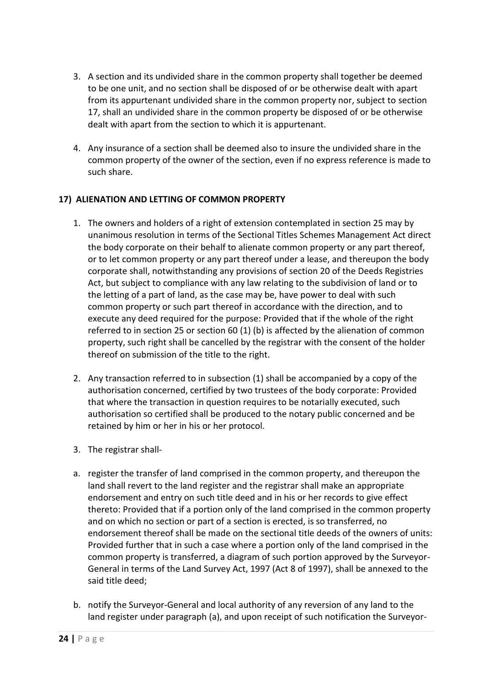- 3. A section and its undivided share in the common property shall together be deemed to be one unit, and no section shall be disposed of or be otherwise dealt with apart from its appurtenant undivided share in the common property nor, subject to section 17, shall an undivided share in the common property be disposed of or be otherwise dealt with apart from the section to which it is appurtenant.
- 4. Any insurance of a section shall be deemed also to insure the undivided share in the common property of the owner of the section, even if no express reference is made to such share.

#### **17) ALIENATION AND LETTING OF COMMON PROPERTY**

- 1. The owners and holders of a right of extension contemplated in section 25 may by unanimous resolution in terms of the Sectional Titles Schemes Management Act direct the body corporate on their behalf to alienate common property or any part thereof, or to let common property or any part thereof under a lease, and thereupon the body corporate shall, notwithstanding any provisions of section 20 of the Deeds Registries Act, but subject to compliance with any law relating to the subdivision of land or to the letting of a part of land, as the case may be, have power to deal with such common property or such part thereof in accordance with the direction, and to execute any deed required for the purpose: Provided that if the whole of the right referred to in section 25 or section 60 (1) (b) is affected by the alienation of common property, such right shall be cancelled by the registrar with the consent of the holder thereof on submission of the title to the right.
- 2. Any transaction referred to in subsection (1) shall be accompanied by a copy of the authorisation concerned, certified by two trustees of the body corporate: Provided that where the transaction in question requires to be notarially executed, such authorisation so certified shall be produced to the notary public concerned and be retained by him or her in his or her protocol.
- 3. The registrar shall-
- a. register the transfer of land comprised in the common property, and thereupon the land shall revert to the land register and the registrar shall make an appropriate endorsement and entry on such title deed and in his or her records to give effect thereto: Provided that if a portion only of the land comprised in the common property and on which no section or part of a section is erected, is so transferred, no endorsement thereof shall be made on the sectional title deeds of the owners of units: Provided further that in such a case where a portion only of the land comprised in the common property is transferred, a diagram of such portion approved by the Surveyor-General in terms of the Land Survey Act, 1997 (Act 8 of 1997), shall be annexed to the said title deed;
- b. notify the Surveyor-General and local authority of any reversion of any land to the land register under paragraph (a), and upon receipt of such notification the Surveyor-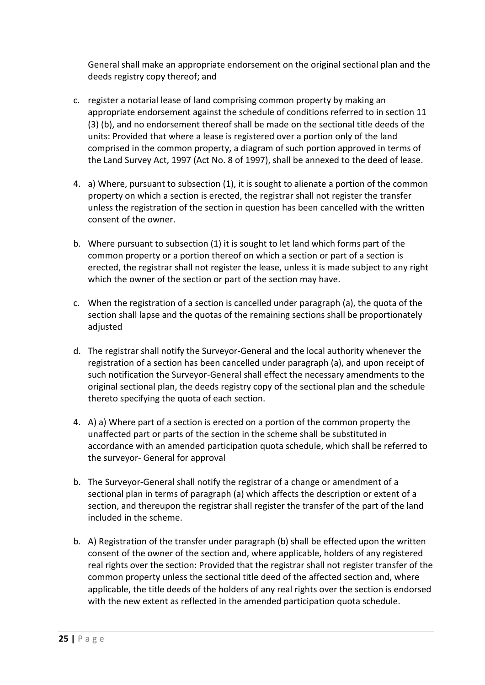General shall make an appropriate endorsement on the original sectional plan and the deeds registry copy thereof; and

- c. register a notarial lease of land comprising common property by making an appropriate endorsement against the schedule of conditions referred to in section 11 (3) (b), and no endorsement thereof shall be made on the sectional title deeds of the units: Provided that where a lease is registered over a portion only of the land comprised in the common property, a diagram of such portion approved in terms of the Land Survey Act, 1997 (Act No. 8 of 1997), shall be annexed to the deed of lease.
- 4. a) Where, pursuant to subsection (1), it is sought to alienate a portion of the common property on which a section is erected, the registrar shall not register the transfer unless the registration of the section in question has been cancelled with the written consent of the owner.
- b. Where pursuant to subsection (1) it is sought to let land which forms part of the common property or a portion thereof on which a section or part of a section is erected, the registrar shall not register the lease, unless it is made subject to any right which the owner of the section or part of the section may have.
- c. When the registration of a section is cancelled under paragraph (a), the quota of the section shall lapse and the quotas of the remaining sections shall be proportionately adjusted
- d. The registrar shall notify the Surveyor-General and the local authority whenever the registration of a section has been cancelled under paragraph (a), and upon receipt of such notification the Surveyor-General shall effect the necessary amendments to the original sectional plan, the deeds registry copy of the sectional plan and the schedule thereto specifying the quota of each section.
- 4. A) a) Where part of a section is erected on a portion of the common property the unaffected part or parts of the section in the scheme shall be substituted in accordance with an amended participation quota schedule, which shall be referred to the surveyor- General for approval
- b. The Surveyor-General shall notify the registrar of a change or amendment of a sectional plan in terms of paragraph (a) which affects the description or extent of a section, and thereupon the registrar shall register the transfer of the part of the land included in the scheme.
- b. A) Registration of the transfer under paragraph (b) shall be effected upon the written consent of the owner of the section and, where applicable, holders of any registered real rights over the section: Provided that the registrar shall not register transfer of the common property unless the sectional title deed of the affected section and, where applicable, the title deeds of the holders of any real rights over the section is endorsed with the new extent as reflected in the amended participation quota schedule.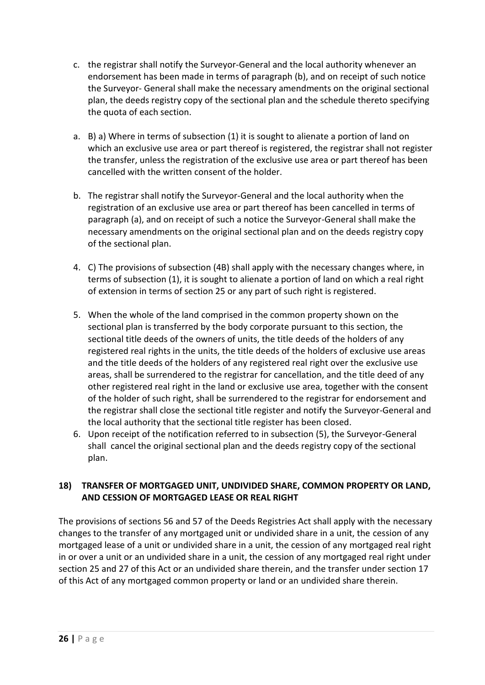- c. the registrar shall notify the Surveyor-General and the local authority whenever an endorsement has been made in terms of paragraph (b), and on receipt of such notice the Surveyor- General shall make the necessary amendments on the original sectional plan, the deeds registry copy of the sectional plan and the schedule thereto specifying the quota of each section.
- a. B) a) Where in terms of subsection (1) it is sought to alienate a portion of land on which an exclusive use area or part thereof is registered, the registrar shall not register the transfer, unless the registration of the exclusive use area or part thereof has been cancelled with the written consent of the holder.
- b. The registrar shall notify the Surveyor-General and the local authority when the registration of an exclusive use area or part thereof has been cancelled in terms of paragraph (a), and on receipt of such a notice the Surveyor-General shall make the necessary amendments on the original sectional plan and on the deeds registry copy of the sectional plan.
- 4. C) The provisions of subsection (4B) shall apply with the necessary changes where, in terms of subsection (1), it is sought to alienate a portion of land on which a real right of extension in terms of section 25 or any part of such right is registered.
- 5. When the whole of the land comprised in the common property shown on the sectional plan is transferred by the body corporate pursuant to this section, the sectional title deeds of the owners of units, the title deeds of the holders of any registered real rights in the units, the title deeds of the holders of exclusive use areas and the title deeds of the holders of any registered real right over the exclusive use areas, shall be surrendered to the registrar for cancellation, and the title deed of any other registered real right in the land or exclusive use area, together with the consent of the holder of such right, shall be surrendered to the registrar for endorsement and the registrar shall close the sectional title register and notify the Surveyor-General and the local authority that the sectional title register has been closed.
- 6. Upon receipt of the notification referred to in subsection (5), the Surveyor-General shall cancel the original sectional plan and the deeds registry copy of the sectional plan.

#### **18) TRANSFER OF MORTGAGED UNIT, UNDIVIDED SHARE, COMMON PROPERTY OR LAND, AND CESSION OF MORTGAGED LEASE OR REAL RIGHT**

The provisions of sections 56 and 57 of the Deeds Registries Act shall apply with the necessary changes to the transfer of any mortgaged unit or undivided share in a unit, the cession of any mortgaged lease of a unit or undivided share in a unit, the cession of any mortgaged real right in or over a unit or an undivided share in a unit, the cession of any mortgaged real right under section 25 and 27 of this Act or an undivided share therein, and the transfer under section 17 of this Act of any mortgaged common property or land or an undivided share therein.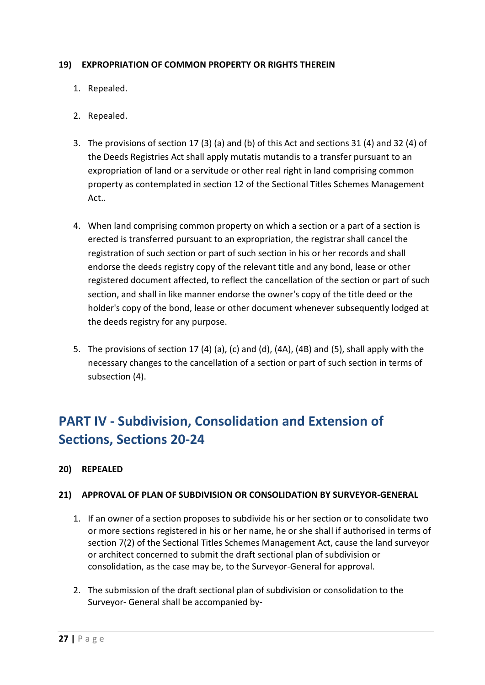#### **19) EXPROPRIATION OF COMMON PROPERTY OR RIGHTS THEREIN**

- 1. Repealed.
- 2. Repealed.
- 3. The provisions of section 17 (3) (a) and (b) of this Act and sections 31 (4) and 32 (4) of the Deeds Registries Act shall apply mutatis mutandis to a transfer pursuant to an expropriation of land or a servitude or other real right in land comprising common property as contemplated in section 12 of the Sectional Titles Schemes Management Act..
- 4. When land comprising common property on which a section or a part of a section is erected is transferred pursuant to an expropriation, the registrar shall cancel the registration of such section or part of such section in his or her records and shall endorse the deeds registry copy of the relevant title and any bond, lease or other registered document affected, to reflect the cancellation of the section or part of such section, and shall in like manner endorse the owner's copy of the title deed or the holder's copy of the bond, lease or other document whenever subsequently lodged at the deeds registry for any purpose.
- 5. The provisions of section 17 (4) (a), (c) and (d), (4A), (4B) and (5), shall apply with the necessary changes to the cancellation of a section or part of such section in terms of subsection (4).

# **PART IV - Subdivision, Consolidation and Extension of Sections, Sections 20-24**

**20) REPEALED**

#### **21) APPROVAL OF PLAN OF SUBDIVISION OR CONSOLIDATION BY SURVEYOR-GENERAL**

- 1. If an owner of a section proposes to subdivide his or her section or to consolidate two or more sections registered in his or her name, he or she shall if authorised in terms of section 7(2) of the Sectional Titles Schemes Management Act, cause the land surveyor or architect concerned to submit the draft sectional plan of subdivision or consolidation, as the case may be, to the Surveyor-General for approval.
- 2. The submission of the draft sectional plan of subdivision or consolidation to the Surveyor- General shall be accompanied by-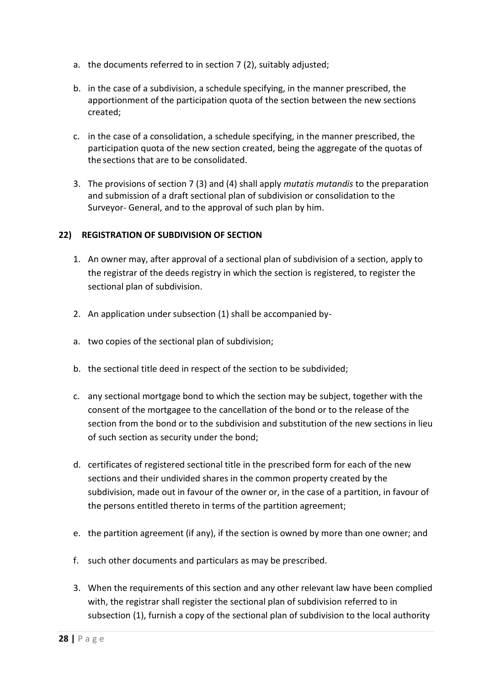- a. the documents referred to in section 7 (2), suitably adjusted;
- b. in the case of a subdivision, a schedule specifying, in the manner prescribed, the apportionment of the participation quota of the section between the new sections created;
- c. in the case of a consolidation, a schedule specifying, in the manner prescribed, the participation quota of the new section created, being the aggregate of the quotas of the sections that are to be consolidated.
- 3. The provisions of section 7 (3) and (4) shall apply *mutatis mutandis* to the preparation and submission of a draft sectional plan of subdivision or consolidation to the Surveyor- General, and to the approval of such plan by him.

#### **22) REGISTRATION OF SUBDIVISION OF SECTION**

- 1. An owner may, after approval of a sectional plan of subdivision of a section, apply to the registrar of the deeds registry in which the section is registered, to register the sectional plan of subdivision.
- 2. An application under subsection (1) shall be accompanied by-
- a. two copies of the sectional plan of subdivision;
- b. the sectional title deed in respect of the section to be subdivided;
- c. any sectional mortgage bond to which the section may be subject, together with the consent of the mortgagee to the cancellation of the bond or to the release of the section from the bond or to the subdivision and substitution of the new sections in lieu of such section as security under the bond;
- d. certificates of registered sectional title in the prescribed form for each of the new sections and their undivided shares in the common property created by the subdivision, made out in favour of the owner or, in the case of a partition, in favour of the persons entitled thereto in terms of the partition agreement;
- e. the partition agreement (if any), if the section is owned by more than one owner; and
- f. such other documents and particulars as may be prescribed.
- 3. When the requirements of this section and any other relevant law have been complied with, the registrar shall register the sectional plan of subdivision referred to in subsection (1), furnish a copy of the sectional plan of subdivision to the local authority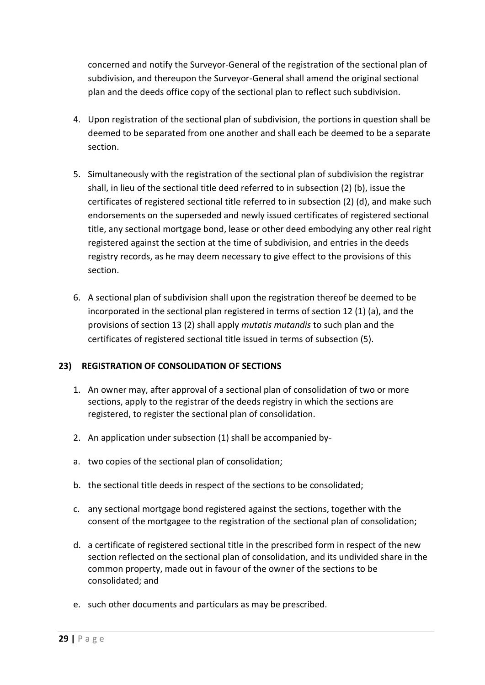concerned and notify the Surveyor-General of the registration of the sectional plan of subdivision, and thereupon the Surveyor-General shall amend the original sectional plan and the deeds office copy of the sectional plan to reflect such subdivision.

- 4. Upon registration of the sectional plan of subdivision, the portions in question shall be deemed to be separated from one another and shall each be deemed to be a separate section.
- 5. Simultaneously with the registration of the sectional plan of subdivision the registrar shall, in lieu of the sectional title deed referred to in subsection (2) (b), issue the certificates of registered sectional title referred to in subsection (2) (d), and make such endorsements on the superseded and newly issued certificates of registered sectional title, any sectional mortgage bond, lease or other deed embodying any other real right registered against the section at the time of subdivision, and entries in the deeds registry records, as he may deem necessary to give effect to the provisions of this section.
- 6. A sectional plan of subdivision shall upon the registration thereof be deemed to be incorporated in the sectional plan registered in terms of section 12 (1) (a), and the provisions of section 13 (2) shall apply *mutatis mutandis* to such plan and the certificates of registered sectional title issued in terms of subsection (5).

#### **23) REGISTRATION OF CONSOLIDATION OF SECTIONS**

- 1. An owner may, after approval of a sectional plan of consolidation of two or more sections, apply to the registrar of the deeds registry in which the sections are registered, to register the sectional plan of consolidation.
- 2. An application under subsection (1) shall be accompanied by-
- a. two copies of the sectional plan of consolidation;
- b. the sectional title deeds in respect of the sections to be consolidated;
- c. any sectional mortgage bond registered against the sections, together with the consent of the mortgagee to the registration of the sectional plan of consolidation;
- d. a certificate of registered sectional title in the prescribed form in respect of the new section reflected on the sectional plan of consolidation, and its undivided share in the common property, made out in favour of the owner of the sections to be consolidated; and
- e. such other documents and particulars as may be prescribed.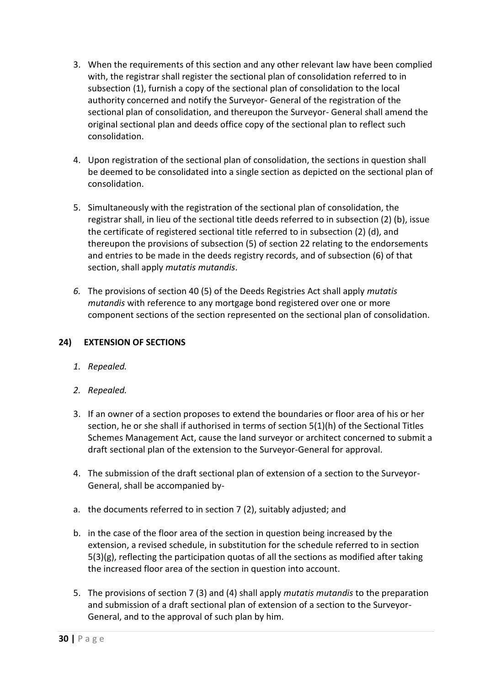- 3. When the requirements of this section and any other relevant law have been complied with, the registrar shall register the sectional plan of consolidation referred to in subsection (1), furnish a copy of the sectional plan of consolidation to the local authority concerned and notify the Surveyor- General of the registration of the sectional plan of consolidation, and thereupon the Surveyor- General shall amend the original sectional plan and deeds office copy of the sectional plan to reflect such consolidation.
- 4. Upon registration of the sectional plan of consolidation, the sections in question shall be deemed to be consolidated into a single section as depicted on the sectional plan of consolidation.
- 5. Simultaneously with the registration of the sectional plan of consolidation, the registrar shall, in lieu of the sectional title deeds referred to in subsection (2) (b), issue the certificate of registered sectional title referred to in subsection (2) (d), and thereupon the provisions of subsection (5) of section 22 relating to the endorsements and entries to be made in the deeds registry records, and of subsection (6) of that section, shall apply *mutatis mutandis*.
- *6.* The provisions of section 40 (5) of the Deeds Registries Act shall apply *mutatis mutandis* with reference to any mortgage bond registered over one or more component sections of the section represented on the sectional plan of consolidation.

#### **24) EXTENSION OF SECTIONS**

- *1. Repealed.*
- *2. Repealed.*
- 3. If an owner of a section proposes to extend the boundaries or floor area of his or her section, he or she shall if authorised in terms of section 5(1)(h) of the Sectional Titles Schemes Management Act, cause the land surveyor or architect concerned to submit a draft sectional plan of the extension to the Surveyor-General for approval.
- 4. The submission of the draft sectional plan of extension of a section to the Surveyor-General, shall be accompanied by-
- a. the documents referred to in section 7 (2), suitably adjusted; and
- b. in the case of the floor area of the section in question being increased by the extension, a revised schedule, in substitution for the schedule referred to in section 5(3)(g), reflecting the participation quotas of all the sections as modified after taking the increased floor area of the section in question into account.
- 5. The provisions of section 7 (3) and (4) shall apply *mutatis mutandis* to the preparation and submission of a draft sectional plan of extension of a section to the Surveyor-General, and to the approval of such plan by him.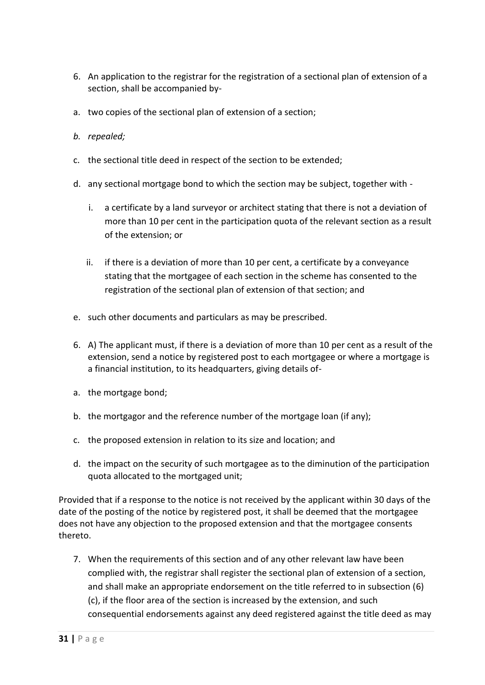- 6. An application to the registrar for the registration of a sectional plan of extension of a section, shall be accompanied by-
- a. two copies of the sectional plan of extension of a section;
- *b. repealed;*
- c. the sectional title deed in respect of the section to be extended;
- d. any sectional mortgage bond to which the section may be subject, together with
	- i. a certificate by a land surveyor or architect stating that there is not a deviation of more than 10 per cent in the participation quota of the relevant section as a result of the extension; or
	- ii. if there is a deviation of more than 10 per cent, a certificate by a conveyance stating that the mortgagee of each section in the scheme has consented to the registration of the sectional plan of extension of that section; and
- e. such other documents and particulars as may be prescribed.
- 6. A) The applicant must, if there is a deviation of more than 10 per cent as a result of the extension, send a notice by registered post to each mortgagee or where a mortgage is a financial institution, to its headquarters, giving details of-
- a. the mortgage bond;
- b. the mortgagor and the reference number of the mortgage loan (if any);
- c. the proposed extension in relation to its size and location; and
- d. the impact on the security of such mortgagee as to the diminution of the participation quota allocated to the mortgaged unit;

Provided that if a response to the notice is not received by the applicant within 30 days of the date of the posting of the notice by registered post, it shall be deemed that the mortgagee does not have any objection to the proposed extension and that the mortgagee consents thereto.

7. When the requirements of this section and of any other relevant law have been complied with, the registrar shall register the sectional plan of extension of a section, and shall make an appropriate endorsement on the title referred to in subsection (6) (c), if the floor area of the section is increased by the extension, and such consequential endorsements against any deed registered against the title deed as may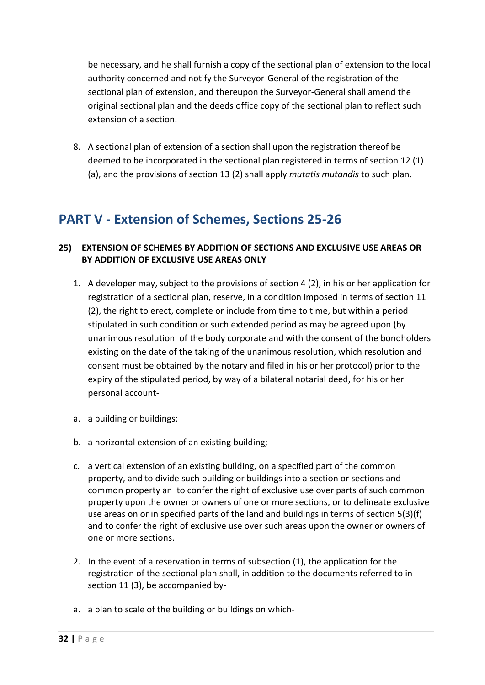be necessary, and he shall furnish a copy of the sectional plan of extension to the local authority concerned and notify the Surveyor-General of the registration of the sectional plan of extension, and thereupon the Surveyor-General shall amend the original sectional plan and the deeds office copy of the sectional plan to reflect such extension of a section.

8. A sectional plan of extension of a section shall upon the registration thereof be deemed to be incorporated in the sectional plan registered in terms of section 12 (1) (a), and the provisions of section 13 (2) shall apply *mutatis mutandis* to such plan.

## **PART V - Extension of Schemes, Sections 25-26**

#### **25) EXTENSION OF SCHEMES BY ADDITION OF SECTIONS AND EXCLUSIVE USE AREAS OR BY ADDITION OF EXCLUSIVE USE AREAS ONLY**

- 1. A developer may, subject to the provisions of section 4 (2), in his or her application for registration of a sectional plan, reserve, in a condition imposed in terms of section 11 (2), the right to erect, complete or include from time to time, but within a period stipulated in such condition or such extended period as may be agreed upon (by unanimous resolution of the body corporate and with the consent of the bondholders existing on the date of the taking of the unanimous resolution, which resolution and consent must be obtained by the notary and filed in his or her protocol) prior to the expiry of the stipulated period, by way of a bilateral notarial deed, for his or her personal account-
- a. a building or buildings;
- b. a horizontal extension of an existing building;
- c. a vertical extension of an existing building, on a specified part of the common property, and to divide such building or buildings into a section or sections and common property an to confer the right of exclusive use over parts of such common property upon the owner or owners of one or more sections, or to delineate exclusive use areas on or in specified parts of the land and buildings in terms of section 5(3)(f) and to confer the right of exclusive use over such areas upon the owner or owners of one or more sections.
- 2. In the event of a reservation in terms of subsection (1), the application for the registration of the sectional plan shall, in addition to the documents referred to in section 11 (3), be accompanied by-
- a. a plan to scale of the building or buildings on which-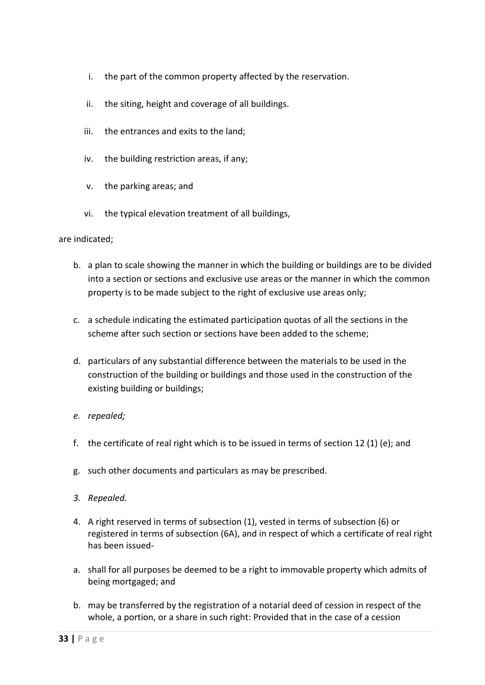- i. the part of the common property affected by the reservation.
- ii. the siting, height and coverage of all buildings.
- iii. the entrances and exits to the land;
- iv. the building restriction areas, if any;
- v. the parking areas; and
- vi. the typical elevation treatment of all buildings,

are indicated;

- b. a plan to scale showing the manner in which the building or buildings are to be divided into a section or sections and exclusive use areas or the manner in which the common property is to be made subject to the right of exclusive use areas only;
- c. a schedule indicating the estimated participation quotas of all the sections in the scheme after such section or sections have been added to the scheme;
- d. particulars of any substantial difference between the materials to be used in the construction of the building or buildings and those used in the construction of the existing building or buildings;
- *e. repealed;*
- f. the certificate of real right which is to be issued in terms of section 12 (1) (e); and
- g. such other documents and particulars as may be prescribed.
- *3. Repealed.*
- 4. A right reserved in terms of subsection (1), vested in terms of subsection (6) or registered in terms of subsection (6A), and in respect of which a certificate of real right has been issued-
- a. shall for all purposes be deemed to be a right to immovable property which admits of being mortgaged; and
- b. may be transferred by the registration of a notarial deed of cession in respect of the whole, a portion, or a share in such right: Provided that in the case of a cession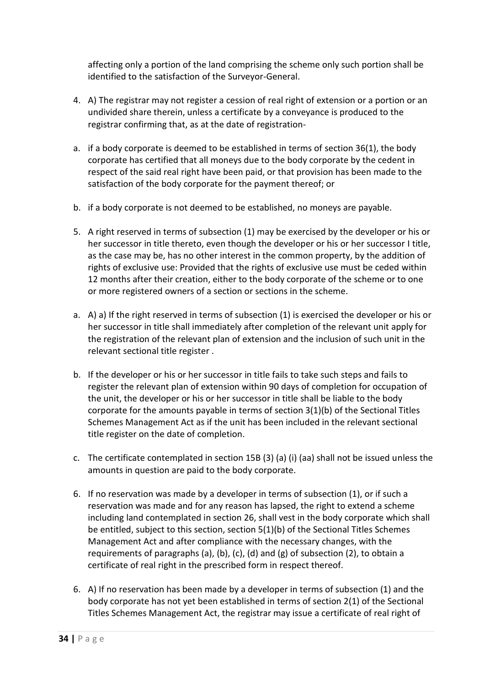affecting only a portion of the land comprising the scheme only such portion shall be identified to the satisfaction of the Surveyor-General.

- 4. A) The registrar may not register a cession of real right of extension or a portion or an undivided share therein, unless a certificate by a conveyance is produced to the registrar confirming that, as at the date of registration-
- a. if a body corporate is deemed to be established in terms of section 36(1), the body corporate has certified that all moneys due to the body corporate by the cedent in respect of the said real right have been paid, or that provision has been made to the satisfaction of the body corporate for the payment thereof; or
- b. if a body corporate is not deemed to be established, no moneys are payable.
- 5. A right reserved in terms of subsection (1) may be exercised by the developer or his or her successor in title thereto, even though the developer or his or her successor I title, as the case may be, has no other interest in the common property, by the addition of rights of exclusive use: Provided that the rights of exclusive use must be ceded within 12 months after their creation, either to the body corporate of the scheme or to one or more registered owners of a section or sections in the scheme.
- a. A) a) If the right reserved in terms of subsection (1) is exercised the developer or his or her successor in title shall immediately after completion of the relevant unit apply for the registration of the relevant plan of extension and the inclusion of such unit in the relevant sectional title register .
- b. If the developer or his or her successor in title fails to take such steps and fails to register the relevant plan of extension within 90 days of completion for occupation of the unit, the developer or his or her successor in title shall be liable to the body corporate for the amounts payable in terms of section 3(1)(b) of the Sectional Titles Schemes Management Act as if the unit has been included in the relevant sectional title register on the date of completion.
- c. The certificate contemplated in section 15B (3) (a) (i) (aa) shall not be issued unless the amounts in question are paid to the body corporate.
- 6. If no reservation was made by a developer in terms of subsection (1), or if such a reservation was made and for any reason has lapsed, the right to extend a scheme including land contemplated in section 26, shall vest in the body corporate which shall be entitled, subject to this section, section 5(1)(b) of the Sectional Titles Schemes Management Act and after compliance with the necessary changes, with the requirements of paragraphs (a), (b), (c), (d) and (g) of subsection (2), to obtain a certificate of real right in the prescribed form in respect thereof.
- 6. A) If no reservation has been made by a developer in terms of subsection (1) and the body corporate has not yet been established in terms of section 2(1) of the Sectional Titles Schemes Management Act, the registrar may issue a certificate of real right of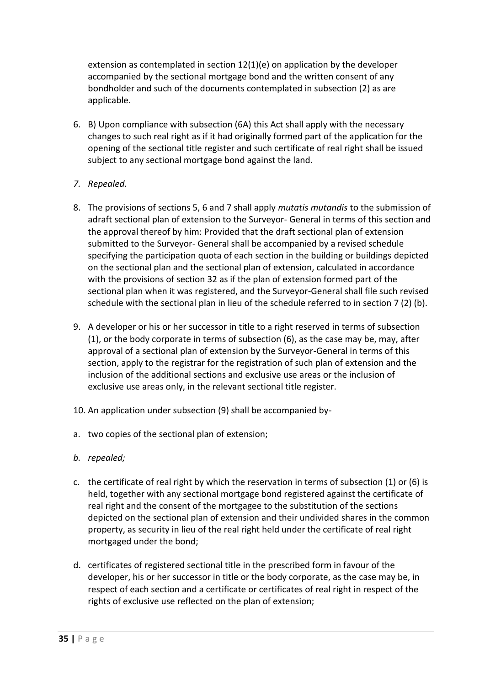extension as contemplated in section 12(1)(e) on application by the developer accompanied by the sectional mortgage bond and the written consent of any bondholder and such of the documents contemplated in subsection (2) as are applicable.

6. B) Upon compliance with subsection (6A) this Act shall apply with the necessary changes to such real right as if it had originally formed part of the application for the opening of the sectional title register and such certificate of real right shall be issued subject to any sectional mortgage bond against the land.

#### *7. Repealed.*

- 8. The provisions of sections 5, 6 and 7 shall apply *mutatis mutandis* to the submission of adraft sectional plan of extension to the Surveyor- General in terms of this section and the approval thereof by him: Provided that the draft sectional plan of extension submitted to the Surveyor- General shall be accompanied by a revised schedule specifying the participation quota of each section in the building or buildings depicted on the sectional plan and the sectional plan of extension, calculated in accordance with the provisions of section 32 as if the plan of extension formed part of the sectional plan when it was registered, and the Surveyor-General shall file such revised schedule with the sectional plan in lieu of the schedule referred to in section 7 (2) (b).
- 9. A developer or his or her successor in title to a right reserved in terms of subsection (1), or the body corporate in terms of subsection (6), as the case may be, may, after approval of a sectional plan of extension by the Surveyor-General in terms of this section, apply to the registrar for the registration of such plan of extension and the inclusion of the additional sections and exclusive use areas or the inclusion of exclusive use areas only, in the relevant sectional title register.
- 10. An application under subsection (9) shall be accompanied by-
- a. two copies of the sectional plan of extension;
- *b. repealed;*
- c. the certificate of real right by which the reservation in terms of subsection (1) or (6) is held, together with any sectional mortgage bond registered against the certificate of real right and the consent of the mortgagee to the substitution of the sections depicted on the sectional plan of extension and their undivided shares in the common property, as security in lieu of the real right held under the certificate of real right mortgaged under the bond;
- d. certificates of registered sectional title in the prescribed form in favour of the developer, his or her successor in title or the body corporate, as the case may be, in respect of each section and a certificate or certificates of real right in respect of the rights of exclusive use reflected on the plan of extension;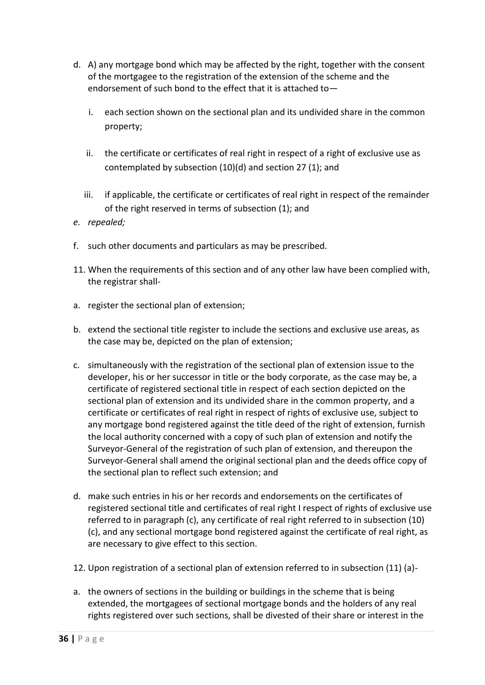- d. A) any mortgage bond which may be affected by the right, together with the consent of the mortgagee to the registration of the extension of the scheme and the endorsement of such bond to the effect that it is attached to
	- i. each section shown on the sectional plan and its undivided share in the common property;
	- ii. the certificate or certificates of real right in respect of a right of exclusive use as contemplated by subsection (10)(d) and section 27 (1); and
	- iii. if applicable, the certificate or certificates of real right in respect of the remainder of the right reserved in terms of subsection (1); and
- *e. repealed;*
- f. such other documents and particulars as may be prescribed.
- 11. When the requirements of this section and of any other law have been complied with, the registrar shall-
- a. register the sectional plan of extension;
- b. extend the sectional title register to include the sections and exclusive use areas, as the case may be, depicted on the plan of extension;
- c. simultaneously with the registration of the sectional plan of extension issue to the developer, his or her successor in title or the body corporate, as the case may be, a certificate of registered sectional title in respect of each section depicted on the sectional plan of extension and its undivided share in the common property, and a certificate or certificates of real right in respect of rights of exclusive use, subject to any mortgage bond registered against the title deed of the right of extension, furnish the local authority concerned with a copy of such plan of extension and notify the Surveyor-General of the registration of such plan of extension, and thereupon the Surveyor-General shall amend the original sectional plan and the deeds office copy of the sectional plan to reflect such extension; and
- d. make such entries in his or her records and endorsements on the certificates of registered sectional title and certificates of real right I respect of rights of exclusive use referred to in paragraph (c), any certificate of real right referred to in subsection (10) (c), and any sectional mortgage bond registered against the certificate of real right, as are necessary to give effect to this section.
- 12. Upon registration of a sectional plan of extension referred to in subsection (11) (a)-
- a. the owners of sections in the building or buildings in the scheme that is being extended, the mortgagees of sectional mortgage bonds and the holders of any real rights registered over such sections, shall be divested of their share or interest in the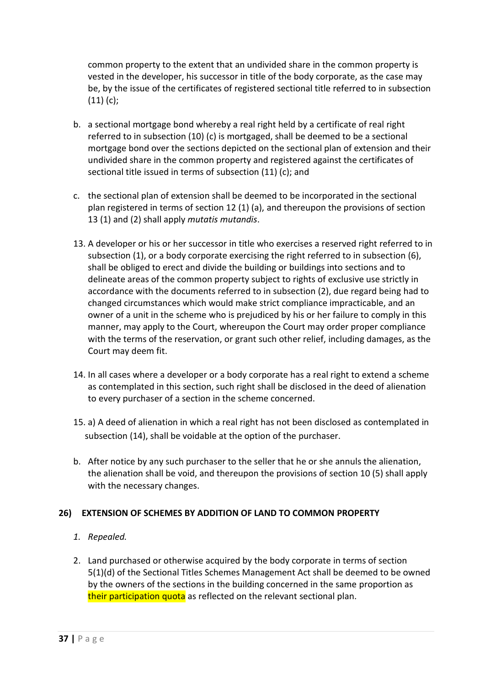common property to the extent that an undivided share in the common property is vested in the developer, his successor in title of the body corporate, as the case may be, by the issue of the certificates of registered sectional title referred to in subsection (11) (c);

- b. a sectional mortgage bond whereby a real right held by a certificate of real right referred to in subsection (10) (c) is mortgaged, shall be deemed to be a sectional mortgage bond over the sections depicted on the sectional plan of extension and their undivided share in the common property and registered against the certificates of sectional title issued in terms of subsection (11) (c); and
- c. the sectional plan of extension shall be deemed to be incorporated in the sectional plan registered in terms of section 12 (1) (a), and thereupon the provisions of section 13 (1) and (2) shall apply *mutatis mutandis*.
- 13. A developer or his or her successor in title who exercises a reserved right referred to in subsection (1), or a body corporate exercising the right referred to in subsection (6), shall be obliged to erect and divide the building or buildings into sections and to delineate areas of the common property subject to rights of exclusive use strictly in accordance with the documents referred to in subsection (2), due regard being had to changed circumstances which would make strict compliance impracticable, and an owner of a unit in the scheme who is prejudiced by his or her failure to comply in this manner, may apply to the Court, whereupon the Court may order proper compliance with the terms of the reservation, or grant such other relief, including damages, as the Court may deem fit.
- 14. In all cases where a developer or a body corporate has a real right to extend a scheme as contemplated in this section, such right shall be disclosed in the deed of alienation to every purchaser of a section in the scheme concerned.
- 15. a) A deed of alienation in which a real right has not been disclosed as contemplated in subsection (14), shall be voidable at the option of the purchaser.
- b. After notice by any such purchaser to the seller that he or she annuls the alienation, the alienation shall be void, and thereupon the provisions of section 10 (5) shall apply with the necessary changes.

#### **26) EXTENSION OF SCHEMES BY ADDITION OF LAND TO COMMON PROPERTY**

#### *1. Repealed.*

2. Land purchased or otherwise acquired by the body corporate in terms of section 5(1)(d) of the Sectional Titles Schemes Management Act shall be deemed to be owned by the owners of the sections in the building concerned in the same proportion as their participation quota as reflected on the relevant sectional plan.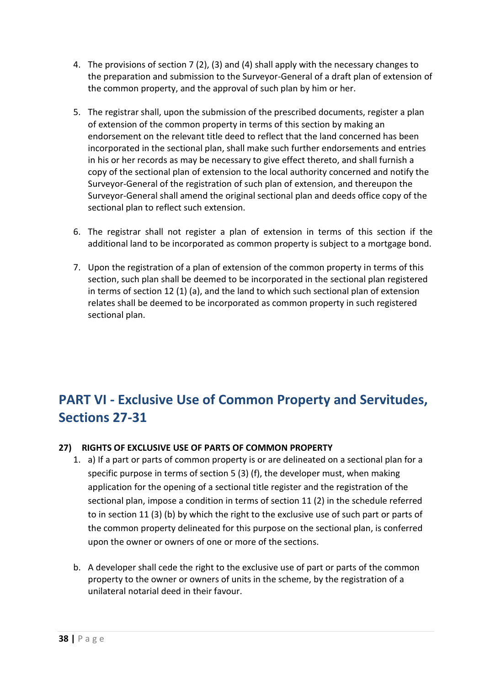- 4. The provisions of section 7 (2), (3) and (4) shall apply with the necessary changes to the preparation and submission to the Surveyor-General of a draft plan of extension of the common property, and the approval of such plan by him or her.
- 5. The registrar shall, upon the submission of the prescribed documents, register a plan of extension of the common property in terms of this section by making an endorsement on the relevant title deed to reflect that the land concerned has been incorporated in the sectional plan, shall make such further endorsements and entries in his or her records as may be necessary to give effect thereto, and shall furnish a copy of the sectional plan of extension to the local authority concerned and notify the Surveyor-General of the registration of such plan of extension, and thereupon the Surveyor-General shall amend the original sectional plan and deeds office copy of the sectional plan to reflect such extension.
- 6. The registrar shall not register a plan of extension in terms of this section if the additional land to be incorporated as common property is subject to a mortgage bond.
- 7. Upon the registration of a plan of extension of the common property in terms of this section, such plan shall be deemed to be incorporated in the sectional plan registered in terms of section 12 (1) (a), and the land to which such sectional plan of extension relates shall be deemed to be incorporated as common property in such registered sectional plan.

# **PART VI - Exclusive Use of Common Property and Servitudes, Sections 27-31**

#### **27) RIGHTS OF EXCLUSIVE USE OF PARTS OF COMMON PROPERTY**

- 1. a) If a part or parts of common property is or are delineated on a sectional plan for a specific purpose in terms of section 5 (3) (f), the developer must, when making application for the opening of a sectional title register and the registration of the sectional plan, impose a condition in terms of section 11 (2) in the schedule referred to in section 11 (3) (b) by which the right to the exclusive use of such part or parts of the common property delineated for this purpose on the sectional plan, is conferred upon the owner or owners of one or more of the sections.
- b. A developer shall cede the right to the exclusive use of part or parts of the common property to the owner or owners of units in the scheme, by the registration of a unilateral notarial deed in their favour.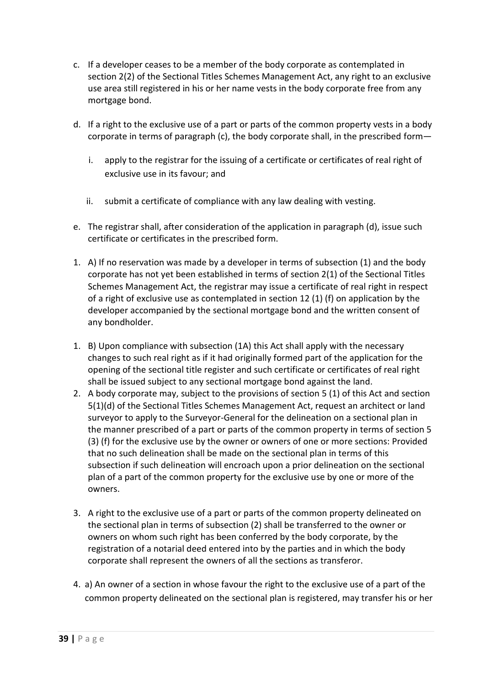- c. If a developer ceases to be a member of the body corporate as contemplated in section 2(2) of the Sectional Titles Schemes Management Act, any right to an exclusive use area still registered in his or her name vests in the body corporate free from any mortgage bond.
- d. If a right to the exclusive use of a part or parts of the common property vests in a body corporate in terms of paragraph (c), the body corporate shall, in the prescribed form
	- i. apply to the registrar for the issuing of a certificate or certificates of real right of exclusive use in its favour; and
	- ii. submit a certificate of compliance with any law dealing with vesting.
- e. The registrar shall, after consideration of the application in paragraph (d), issue such certificate or certificates in the prescribed form.
- 1. A) If no reservation was made by a developer in terms of subsection (1) and the body corporate has not yet been established in terms of section 2(1) of the Sectional Titles Schemes Management Act, the registrar may issue a certificate of real right in respect of a right of exclusive use as contemplated in section 12 (1) (f) on application by the developer accompanied by the sectional mortgage bond and the written consent of any bondholder.
- 1. B) Upon compliance with subsection (1A) this Act shall apply with the necessary changes to such real right as if it had originally formed part of the application for the opening of the sectional title register and such certificate or certificates of real right shall be issued subject to any sectional mortgage bond against the land.
- 2. A body corporate may, subject to the provisions of section 5 (1) of this Act and section 5(1)(d) of the Sectional Titles Schemes Management Act, request an architect or land surveyor to apply to the Surveyor-General for the delineation on a sectional plan in the manner prescribed of a part or parts of the common property in terms of section 5 (3) (f) for the exclusive use by the owner or owners of one or more sections: Provided that no such delineation shall be made on the sectional plan in terms of this subsection if such delineation will encroach upon a prior delineation on the sectional plan of a part of the common property for the exclusive use by one or more of the owners.
- 3. A right to the exclusive use of a part or parts of the common property delineated on the sectional plan in terms of subsection (2) shall be transferred to the owner or owners on whom such right has been conferred by the body corporate, by the registration of a notarial deed entered into by the parties and in which the body corporate shall represent the owners of all the sections as transferor.
- 4. a) An owner of a section in whose favour the right to the exclusive use of a part of the common property delineated on the sectional plan is registered, may transfer his or her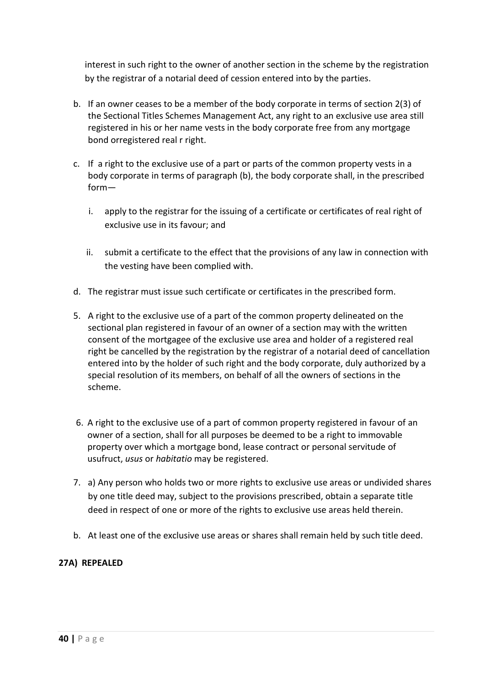interest in such right to the owner of another section in the scheme by the registration by the registrar of a notarial deed of cession entered into by the parties.

- b. If an owner ceases to be a member of the body corporate in terms of section 2(3) of the Sectional Titles Schemes Management Act, any right to an exclusive use area still registered in his or her name vests in the body corporate free from any mortgage bond orregistered real r right.
- c. If a right to the exclusive use of a part or parts of the common property vests in a body corporate in terms of paragraph (b), the body corporate shall, in the prescribed form
	- i. apply to the registrar for the issuing of a certificate or certificates of real right of exclusive use in its favour; and
	- ii. submit a certificate to the effect that the provisions of any law in connection with the vesting have been complied with.
- d. The registrar must issue such certificate or certificates in the prescribed form.
- 5. A right to the exclusive use of a part of the common property delineated on the sectional plan registered in favour of an owner of a section may with the written consent of the mortgagee of the exclusive use area and holder of a registered real right be cancelled by the registration by the registrar of a notarial deed of cancellation entered into by the holder of such right and the body corporate, duly authorized by a special resolution of its members, on behalf of all the owners of sections in the scheme.
- 6. A right to the exclusive use of a part of common property registered in favour of an owner of a section, shall for all purposes be deemed to be a right to immovable property over which a mortgage bond, lease contract or personal servitude of usufruct, *usus* or *habitatio* may be registered.
- 7. a) Any person who holds two or more rights to exclusive use areas or undivided shares by one title deed may, subject to the provisions prescribed, obtain a separate title deed in respect of one or more of the rights to exclusive use areas held therein.
- b. At least one of the exclusive use areas or shares shall remain held by such title deed.

#### **27A) REPEALED**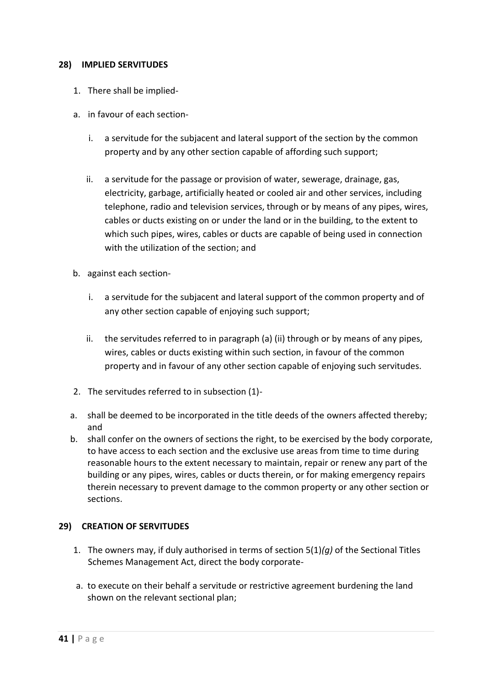#### **28) IMPLIED SERVITUDES**

- 1. There shall be implied-
- a. in favour of each section
	- i. a servitude for the subjacent and lateral support of the section by the common property and by any other section capable of affording such support;
	- ii. a servitude for the passage or provision of water, sewerage, drainage, gas, electricity, garbage, artificially heated or cooled air and other services, including telephone, radio and television services, through or by means of any pipes, wires, cables or ducts existing on or under the land or in the building, to the extent to which such pipes, wires, cables or ducts are capable of being used in connection with the utilization of the section; and
- b. against each section
	- i. a servitude for the subjacent and lateral support of the common property and of any other section capable of enjoying such support;
	- ii. the servitudes referred to in paragraph (a) (ii) through or by means of any pipes, wires, cables or ducts existing within such section, in favour of the common property and in favour of any other section capable of enjoying such servitudes.
- 2. The servitudes referred to in subsection (1)-
- a. shall be deemed to be incorporated in the title deeds of the owners affected thereby; and
- b. shall confer on the owners of sections the right, to be exercised by the body corporate, to have access to each section and the exclusive use areas from time to time during reasonable hours to the extent necessary to maintain, repair or renew any part of the building or any pipes, wires, cables or ducts therein, or for making emergency repairs therein necessary to prevent damage to the common property or any other section or sections.

#### **29) CREATION OF SERVITUDES**

- 1. The owners may, if duly authorised in terms of section 5(1)*(g)* of the Sectional Titles Schemes Management Act, direct the body corporate-
- a. to execute on their behalf a servitude or restrictive agreement burdening the land shown on the relevant sectional plan;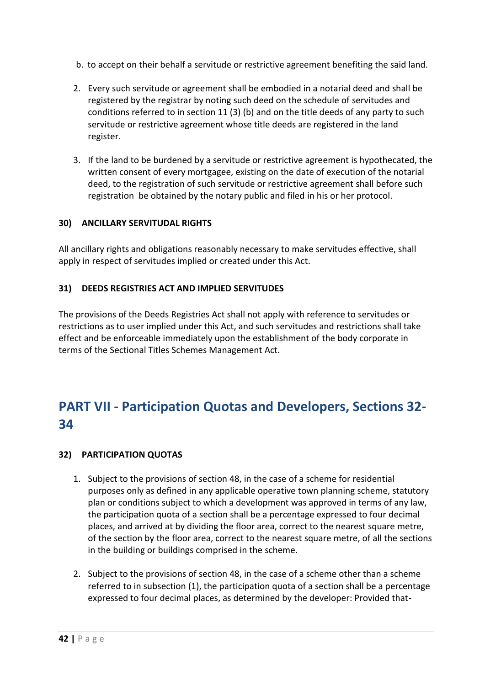- b. to accept on their behalf a servitude or restrictive agreement benefiting the said land.
- 2. Every such servitude or agreement shall be embodied in a notarial deed and shall be registered by the registrar by noting such deed on the schedule of servitudes and conditions referred to in section 11 (3) (b) and on the title deeds of any party to such servitude or restrictive agreement whose title deeds are registered in the land register.
- 3. If the land to be burdened by a servitude or restrictive agreement is hypothecated, the written consent of every mortgagee, existing on the date of execution of the notarial deed, to the registration of such servitude or restrictive agreement shall before such registration be obtained by the notary public and filed in his or her protocol.

#### **30) ANCILLARY SERVITUDAL RIGHTS**

All ancillary rights and obligations reasonably necessary to make servitudes effective, shall apply in respect of servitudes implied or created under this Act.

#### **31) DEEDS REGISTRIES ACT AND IMPLIED SERVITUDES**

The provisions of the Deeds Registries Act shall not apply with reference to servitudes or restrictions as to user implied under this Act, and such servitudes and restrictions shall take effect and be enforceable immediately upon the establishment of the body corporate in terms of the Sectional Titles Schemes Management Act.

# **PART VII - Participation Quotas and Developers, Sections 32- 34**

#### **32) PARTICIPATION QUOTAS**

- 1. Subject to the provisions of section 48, in the case of a scheme for residential purposes only as defined in any applicable operative town planning scheme, statutory plan or conditions subject to which a development was approved in terms of any law, the participation quota of a section shall be a percentage expressed to four decimal places, and arrived at by dividing the floor area, correct to the nearest square metre, of the section by the floor area, correct to the nearest square metre, of all the sections in the building or buildings comprised in the scheme.
- 2. Subject to the provisions of section 48, in the case of a scheme other than a scheme referred to in subsection (1), the participation quota of a section shall be a percentage expressed to four decimal places, as determined by the developer: Provided that-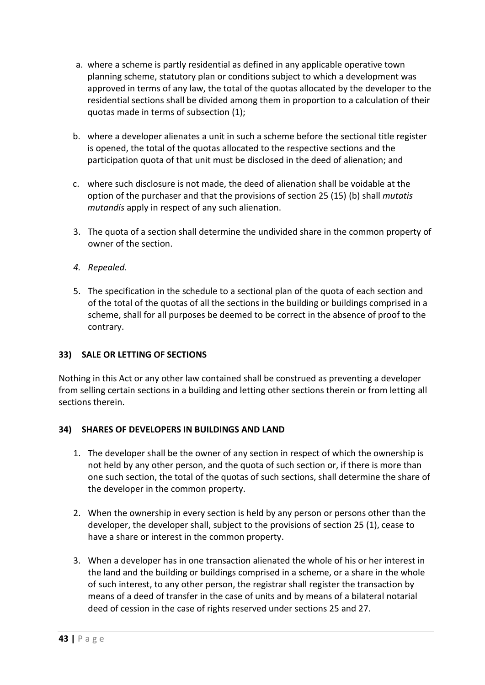- a. where a scheme is partly residential as defined in any applicable operative town planning scheme, statutory plan or conditions subject to which a development was approved in terms of any law, the total of the quotas allocated by the developer to the residential sections shall be divided among them in proportion to a calculation of their quotas made in terms of subsection (1);
- b. where a developer alienates a unit in such a scheme before the sectional title register is opened, the total of the quotas allocated to the respective sections and the participation quota of that unit must be disclosed in the deed of alienation; and
- c. where such disclosure is not made, the deed of alienation shall be voidable at the option of the purchaser and that the provisions of section 25 (15) (b) shall *mutatis mutandis* apply in respect of any such alienation.
- 3. The quota of a section shall determine the undivided share in the common property of owner of the section.
- *4. Repealed.*
- 5. The specification in the schedule to a sectional plan of the quota of each section and of the total of the quotas of all the sections in the building or buildings comprised in a scheme, shall for all purposes be deemed to be correct in the absence of proof to the contrary.

#### **33) SALE OR LETTING OF SECTIONS**

Nothing in this Act or any other law contained shall be construed as preventing a developer from selling certain sections in a building and letting other sections therein or from letting all sections therein.

#### **34) SHARES OF DEVELOPERS IN BUILDINGS AND LAND**

- 1. The developer shall be the owner of any section in respect of which the ownership is not held by any other person, and the quota of such section or, if there is more than one such section, the total of the quotas of such sections, shall determine the share of the developer in the common property.
- 2. When the ownership in every section is held by any person or persons other than the developer, the developer shall, subject to the provisions of section 25 (1), cease to have a share or interest in the common property.
- 3. When a developer has in one transaction alienated the whole of his or her interest in the land and the building or buildings comprised in a scheme, or a share in the whole of such interest, to any other person, the registrar shall register the transaction by means of a deed of transfer in the case of units and by means of a bilateral notarial deed of cession in the case of rights reserved under sections 25 and 27.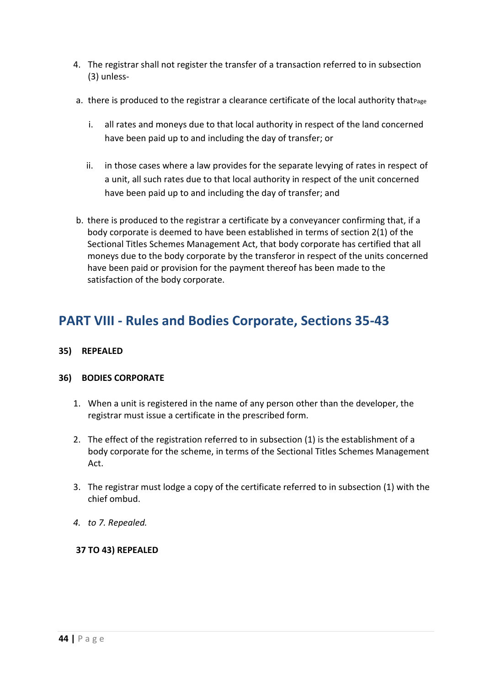- 4. The registrar shall not register the transfer of a transaction referred to in subsection (3) unless-
- a. there is produced to the registrar a clearance certificate of the local authority that Page
	- i. all rates and moneys due to that local authority in respect of the land concerned have been paid up to and including the day of transfer; or
	- ii. in those cases where a law provides for the separate levying of rates in respect of a unit, all such rates due to that local authority in respect of the unit concerned have been paid up to and including the day of transfer; and
- b. there is produced to the registrar a certificate by a conveyancer confirming that, if a body corporate is deemed to have been established in terms of section 2(1) of the Sectional Titles Schemes Management Act, that body corporate has certified that all moneys due to the body corporate by the transferor in respect of the units concerned have been paid or provision for the payment thereof has been made to the satisfaction of the body corporate.

## **PART VIII - Rules and Bodies Corporate, Sections 35-43**

#### **35) REPEALED**

#### **36) BODIES CORPORATE**

- 1. When a unit is registered in the name of any person other than the developer, the registrar must issue a certificate in the prescribed form.
- 2. The effect of the registration referred to in subsection (1) is the establishment of a body corporate for the scheme, in terms of the Sectional Titles Schemes Management Act.
- 3. The registrar must lodge a copy of the certificate referred to in subsection (1) with the chief ombud.
- *4. to 7. Repealed.*

#### **37 TO 43) REPEALED**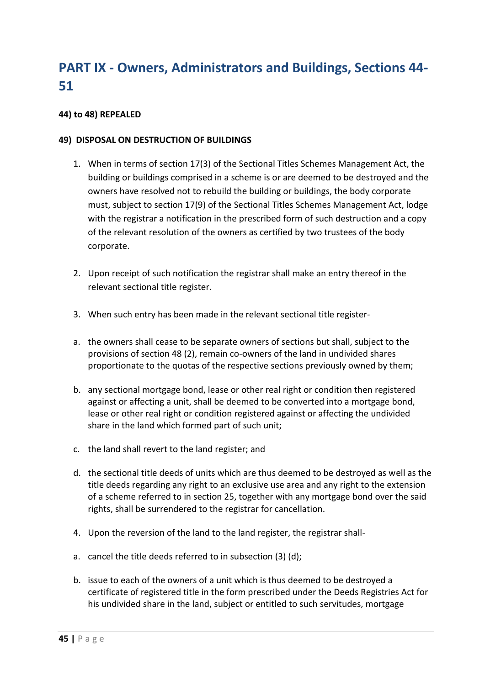# **PART IX - Owners, Administrators and Buildings, Sections 44- 51**

#### **44) to 48) REPEALED**

#### **49) DISPOSAL ON DESTRUCTION OF BUILDINGS**

- 1. When in terms of section 17(3) of the Sectional Titles Schemes Management Act, the building or buildings comprised in a scheme is or are deemed to be destroyed and the owners have resolved not to rebuild the building or buildings, the body corporate must, subject to section 17(9) of the Sectional Titles Schemes Management Act, lodge with the registrar a notification in the prescribed form of such destruction and a copy of the relevant resolution of the owners as certified by two trustees of the body corporate.
- 2. Upon receipt of such notification the registrar shall make an entry thereof in the relevant sectional title register.
- 3. When such entry has been made in the relevant sectional title register-
- a. the owners shall cease to be separate owners of sections but shall, subject to the provisions of section 48 (2), remain co-owners of the land in undivided shares proportionate to the quotas of the respective sections previously owned by them;
- b. any sectional mortgage bond, lease or other real right or condition then registered against or affecting a unit, shall be deemed to be converted into a mortgage bond, lease or other real right or condition registered against or affecting the undivided share in the land which formed part of such unit;
- c. the land shall revert to the land register; and
- d. the sectional title deeds of units which are thus deemed to be destroyed as well as the title deeds regarding any right to an exclusive use area and any right to the extension of a scheme referred to in section 25, together with any mortgage bond over the said rights, shall be surrendered to the registrar for cancellation.
- 4. Upon the reversion of the land to the land register, the registrar shall-
- a. cancel the title deeds referred to in subsection (3) (d);
- b. issue to each of the owners of a unit which is thus deemed to be destroyed a certificate of registered title in the form prescribed under the Deeds Registries Act for his undivided share in the land, subject or entitled to such servitudes, mortgage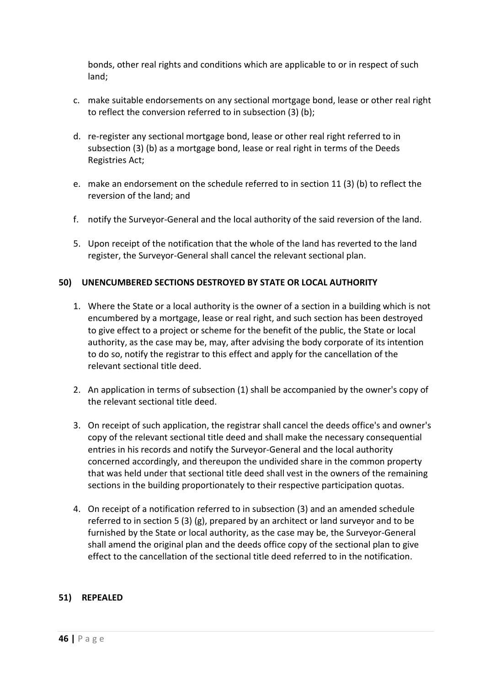bonds, other real rights and conditions which are applicable to or in respect of such land;

- c. make suitable endorsements on any sectional mortgage bond, lease or other real right to reflect the conversion referred to in subsection (3) (b);
- d. re-register any sectional mortgage bond, lease or other real right referred to in subsection (3) (b) as a mortgage bond, lease or real right in terms of the Deeds Registries Act;
- e. make an endorsement on the schedule referred to in section 11 (3) (b) to reflect the reversion of the land; and
- f. notify the Surveyor-General and the local authority of the said reversion of the land.
- 5. Upon receipt of the notification that the whole of the land has reverted to the land register, the Surveyor-General shall cancel the relevant sectional plan.

#### **50) UNENCUMBERED SECTIONS DESTROYED BY STATE OR LOCAL AUTHORITY**

- 1. Where the State or a local authority is the owner of a section in a building which is not encumbered by a mortgage, lease or real right, and such section has been destroyed to give effect to a project or scheme for the benefit of the public, the State or local authority, as the case may be, may, after advising the body corporate of its intention to do so, notify the registrar to this effect and apply for the cancellation of the relevant sectional title deed.
- 2. An application in terms of subsection (1) shall be accompanied by the owner's copy of the relevant sectional title deed.
- 3. On receipt of such application, the registrar shall cancel the deeds office's and owner's copy of the relevant sectional title deed and shall make the necessary consequential entries in his records and notify the Surveyor-General and the local authority concerned accordingly, and thereupon the undivided share in the common property that was held under that sectional title deed shall vest in the owners of the remaining sections in the building proportionately to their respective participation quotas.
- 4. On receipt of a notification referred to in subsection (3) and an amended schedule referred to in section 5 (3) (g), prepared by an architect or land surveyor and to be furnished by the State or local authority, as the case may be, the Surveyor-General shall amend the original plan and the deeds office copy of the sectional plan to give effect to the cancellation of the sectional title deed referred to in the notification.

#### **51) REPEALED**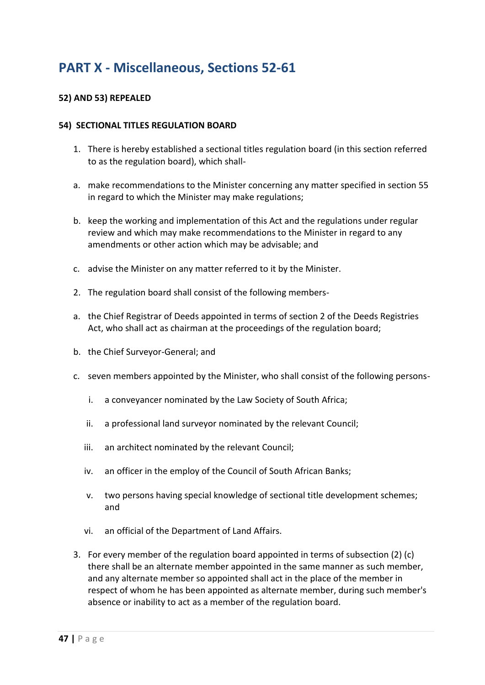## **PART X - Miscellaneous, Sections 52-61**

#### **52) AND 53) REPEALED**

#### **54) SECTIONAL TITLES REGULATION BOARD**

- 1. There is hereby established a sectional titles regulation board (in this section referred to as the regulation board), which shall-
- a. make recommendations to the Minister concerning any matter specified in section 55 in regard to which the Minister may make regulations;
- b. keep the working and implementation of this Act and the regulations under regular review and which may make recommendations to the Minister in regard to any amendments or other action which may be advisable; and
- c. advise the Minister on any matter referred to it by the Minister.
- 2. The regulation board shall consist of the following members-
- a. the Chief Registrar of Deeds appointed in terms of section 2 of the Deeds Registries Act, who shall act as chairman at the proceedings of the regulation board;
- b. the Chief Surveyor-General; and
- c. seven members appointed by the Minister, who shall consist of the following persons
	- i. a conveyancer nominated by the Law Society of South Africa;
	- ii. a professional land surveyor nominated by the relevant Council;
	- iii. an architect nominated by the relevant Council;
	- iv. an officer in the employ of the Council of South African Banks;
	- v. two persons having special knowledge of sectional title development schemes; and
	- vi. an official of the Department of Land Affairs.
- 3. For every member of the regulation board appointed in terms of subsection (2) (c) there shall be an alternate member appointed in the same manner as such member, and any alternate member so appointed shall act in the place of the member in respect of whom he has been appointed as alternate member, during such member's absence or inability to act as a member of the regulation board.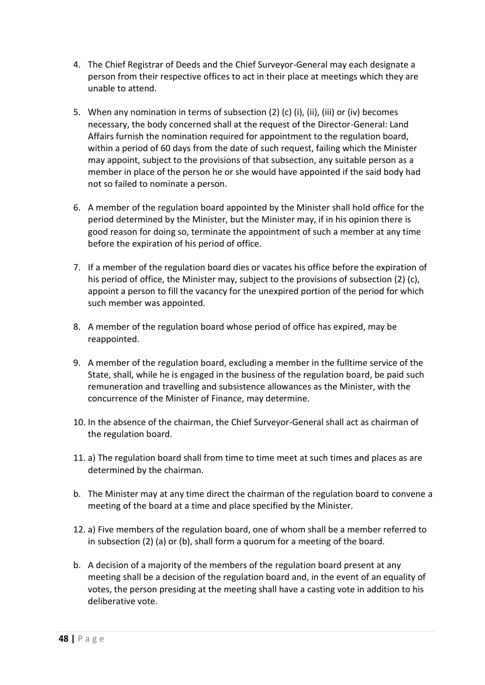- 4. The Chief Registrar of Deeds and the Chief Surveyor-General may each designate a person from their respective offices to act in their place at meetings which they are unable to attend.
- 5. When any nomination in terms of subsection (2) (c) (i), (ii), (iii) or (iv) becomes necessary, the body concerned shall at the request of the Director-General: Land Affairs furnish the nomination required for appointment to the regulation board, within a period of 60 days from the date of such request, failing which the Minister may appoint, subject to the provisions of that subsection, any suitable person as a member in place of the person he or she would have appointed if the said body had not so failed to nominate a person.
- 6. A member of the regulation board appointed by the Minister shall hold office for the period determined by the Minister, but the Minister may, if in his opinion there is good reason for doing so, terminate the appointment of such a member at any time before the expiration of his period of office.
- 7. If a member of the regulation board dies or vacates his office before the expiration of his period of office, the Minister may, subject to the provisions of subsection (2) (c), appoint a person to fill the vacancy for the unexpired portion of the period for which such member was appointed.
- 8. A member of the regulation board whose period of office has expired, may be reappointed.
- 9. A member of the regulation board, excluding a member in the fulltime service of the State, shall, while he is engaged in the business of the regulation board, be paid such remuneration and travelling and subsistence allowances as the Minister, with the concurrence of the Minister of Finance, may determine.
- 10. In the absence of the chairman, the Chief Surveyor-General shall act as chairman of the regulation board.
- 11. a) The regulation board shall from time to time meet at such times and places as are determined by the chairman.
- b. The Minister may at any time direct the chairman of the regulation board to convene a meeting of the board at a time and place specified by the Minister.
- 12. a) Five members of the regulation board, one of whom shall be a member referred to in subsection (2) (a) or (b), shall form a quorum for a meeting of the board.
- b. A decision of a majority of the members of the regulation board present at any meeting shall be a decision of the regulation board and, in the event of an equality of votes, the person presiding at the meeting shall have a casting vote in addition to his deliberative vote.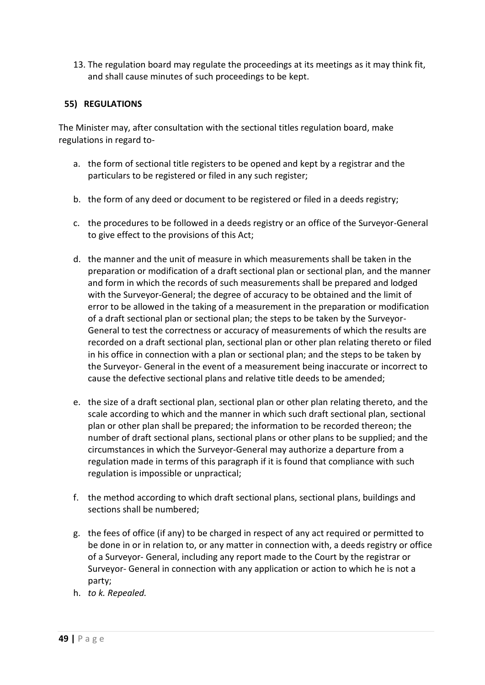13. The regulation board may regulate the proceedings at its meetings as it may think fit, and shall cause minutes of such proceedings to be kept.

#### **55) REGULATIONS**

The Minister may, after consultation with the sectional titles regulation board, make regulations in regard to-

- a. the form of sectional title registers to be opened and kept by a registrar and the particulars to be registered or filed in any such register;
- b. the form of any deed or document to be registered or filed in a deeds registry;
- c. the procedures to be followed in a deeds registry or an office of the Surveyor-General to give effect to the provisions of this Act;
- d. the manner and the unit of measure in which measurements shall be taken in the preparation or modification of a draft sectional plan or sectional plan, and the manner and form in which the records of such measurements shall be prepared and lodged with the Surveyor-General; the degree of accuracy to be obtained and the limit of error to be allowed in the taking of a measurement in the preparation or modification of a draft sectional plan or sectional plan; the steps to be taken by the Surveyor-General to test the correctness or accuracy of measurements of which the results are recorded on a draft sectional plan, sectional plan or other plan relating thereto or filed in his office in connection with a plan or sectional plan; and the steps to be taken by the Surveyor- General in the event of a measurement being inaccurate or incorrect to cause the defective sectional plans and relative title deeds to be amended;
- e. the size of a draft sectional plan, sectional plan or other plan relating thereto, and the scale according to which and the manner in which such draft sectional plan, sectional plan or other plan shall be prepared; the information to be recorded thereon; the number of draft sectional plans, sectional plans or other plans to be supplied; and the circumstances in which the Surveyor-General may authorize a departure from a regulation made in terms of this paragraph if it is found that compliance with such regulation is impossible or unpractical;
- f. the method according to which draft sectional plans, sectional plans, buildings and sections shall be numbered;
- g. the fees of office (if any) to be charged in respect of any act required or permitted to be done in or in relation to, or any matter in connection with, a deeds registry or office of a Surveyor- General, including any report made to the Court by the registrar or Surveyor- General in connection with any application or action to which he is not a party;
- h. *to k. Repealed.*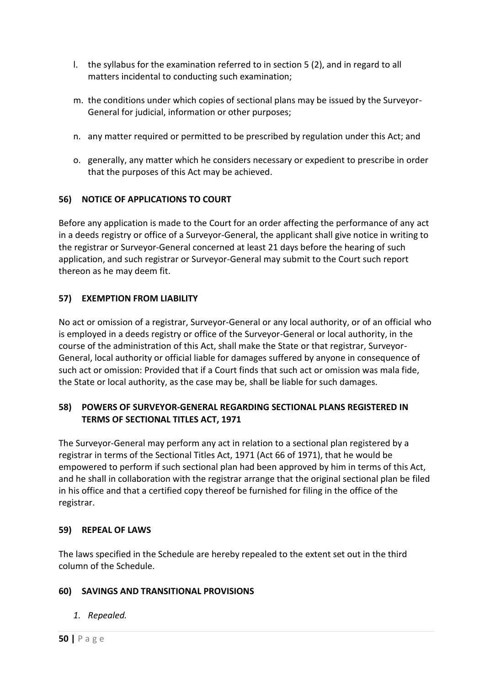- l. the syllabus for the examination referred to in section 5 (2), and in regard to all matters incidental to conducting such examination;
- m. the conditions under which copies of sectional plans may be issued by the Surveyor-General for judicial, information or other purposes;
- n. any matter required or permitted to be prescribed by regulation under this Act; and
- o. generally, any matter which he considers necessary or expedient to prescribe in order that the purposes of this Act may be achieved.

#### **56) NOTICE OF APPLICATIONS TO COURT**

Before any application is made to the Court for an order affecting the performance of any act in a deeds registry or office of a Surveyor-General, the applicant shall give notice in writing to the registrar or Surveyor-General concerned at least 21 days before the hearing of such application, and such registrar or Surveyor-General may submit to the Court such report thereon as he may deem fit.

#### **57) EXEMPTION FROM LIABILITY**

No act or omission of a registrar, Surveyor-General or any local authority, or of an official who is employed in a deeds registry or office of the Surveyor-General or local authority, in the course of the administration of this Act, shall make the State or that registrar, Surveyor-General, local authority or official liable for damages suffered by anyone in consequence of such act or omission: Provided that if a Court finds that such act or omission was mala fide, the State or local authority, as the case may be, shall be liable for such damages.

#### **58) POWERS OF SURVEYOR-GENERAL REGARDING SECTIONAL PLANS REGISTERED IN TERMS OF SECTIONAL TITLES ACT, 1971**

The Surveyor-General may perform any act in relation to a sectional plan registered by a registrar in terms of the Sectional Titles Act, 1971 (Act 66 of 1971), that he would be empowered to perform if such sectional plan had been approved by him in terms of this Act, and he shall in collaboration with the registrar arrange that the original sectional plan be filed in his office and that a certified copy thereof be furnished for filing in the office of the registrar.

#### **59) REPEAL OF LAWS**

The laws specified in the Schedule are hereby repealed to the extent set out in the third column of the Schedule.

#### **60) SAVINGS AND TRANSITIONAL PROVISIONS**

*1. Repealed.*